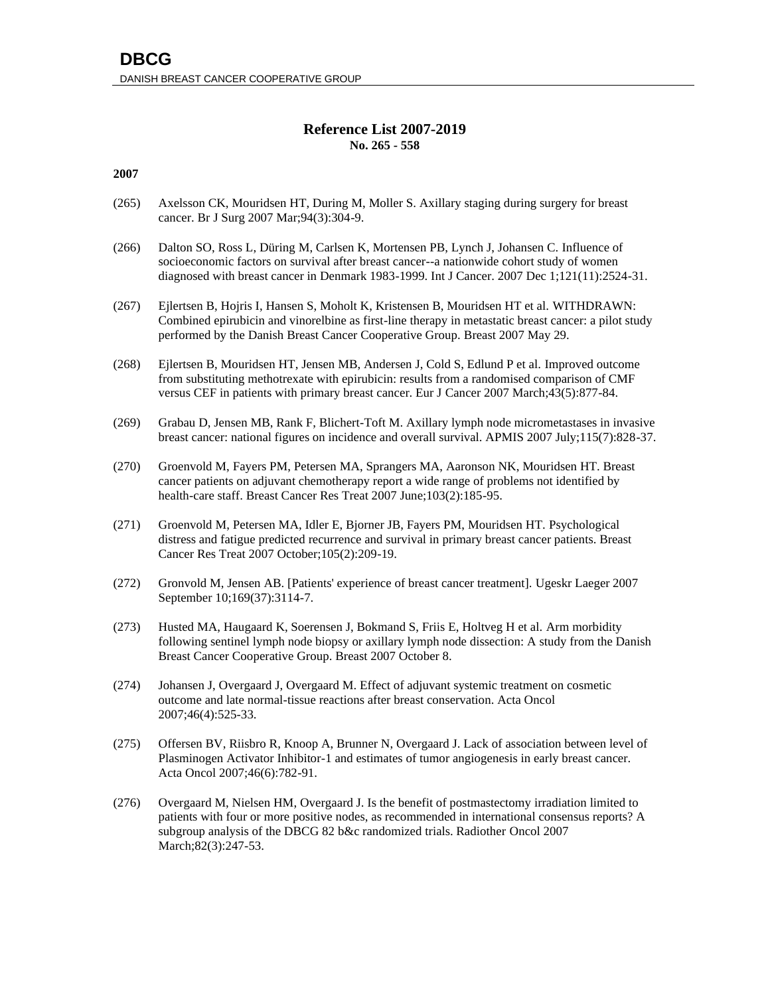# **Reference List 2007-2019 No. 265 - 558**

- (265) Axelsson CK, Mouridsen HT, During M, Moller S. Axillary staging during surgery for breast cancer. Br J Surg 2007 Mar;94(3):304-9.
- (266) Dalton SO, Ross L, Düring M, Carlsen K, Mortensen PB, Lynch J, Johansen C. Influence of socioeconomic factors on survival after breast cancer--a nationwide cohort study of women diagnosed with breast cancer in Denmark 1983-1999. Int J Cancer. 2007 Dec 1;121(11):2524-31.
- (267) Ejlertsen B, Hojris I, Hansen S, Moholt K, Kristensen B, Mouridsen HT et al. WITHDRAWN: Combined epirubicin and vinorelbine as first-line therapy in metastatic breast cancer: a pilot study performed by the Danish Breast Cancer Cooperative Group. Breast 2007 May 29.
- (268) Ejlertsen B, Mouridsen HT, Jensen MB, Andersen J, Cold S, Edlund P et al. Improved outcome from substituting methotrexate with epirubicin: results from a randomised comparison of CMF versus CEF in patients with primary breast cancer. Eur J Cancer 2007 March;43(5):877-84.
- (269) Grabau D, Jensen MB, Rank F, Blichert-Toft M. Axillary lymph node micrometastases in invasive breast cancer: national figures on incidence and overall survival. APMIS 2007 July;115(7):828-37.
- (270) Groenvold M, Fayers PM, Petersen MA, Sprangers MA, Aaronson NK, Mouridsen HT. Breast cancer patients on adjuvant chemotherapy report a wide range of problems not identified by health-care staff. Breast Cancer Res Treat 2007 June;103(2):185-95.
- (271) Groenvold M, Petersen MA, Idler E, Bjorner JB, Fayers PM, Mouridsen HT. Psychological distress and fatigue predicted recurrence and survival in primary breast cancer patients. Breast Cancer Res Treat 2007 October;105(2):209-19.
- (272) Gronvold M, Jensen AB. [Patients' experience of breast cancer treatment]. Ugeskr Laeger 2007 September 10;169(37):3114-7.
- (273) Husted MA, Haugaard K, Soerensen J, Bokmand S, Friis E, Holtveg H et al. Arm morbidity following sentinel lymph node biopsy or axillary lymph node dissection: A study from the Danish Breast Cancer Cooperative Group. Breast 2007 October 8.
- (274) Johansen J, Overgaard J, Overgaard M. Effect of adjuvant systemic treatment on cosmetic outcome and late normal-tissue reactions after breast conservation. Acta Oncol 2007;46(4):525-33.
- (275) Offersen BV, Riisbro R, Knoop A, Brunner N, Overgaard J. Lack of association between level of Plasminogen Activator Inhibitor-1 and estimates of tumor angiogenesis in early breast cancer. Acta Oncol 2007;46(6):782-91.
- (276) Overgaard M, Nielsen HM, Overgaard J. Is the benefit of postmastectomy irradiation limited to patients with four or more positive nodes, as recommended in international consensus reports? A subgroup analysis of the DBCG 82 b&c randomized trials. Radiother Oncol 2007 March; 82(3): 247-53.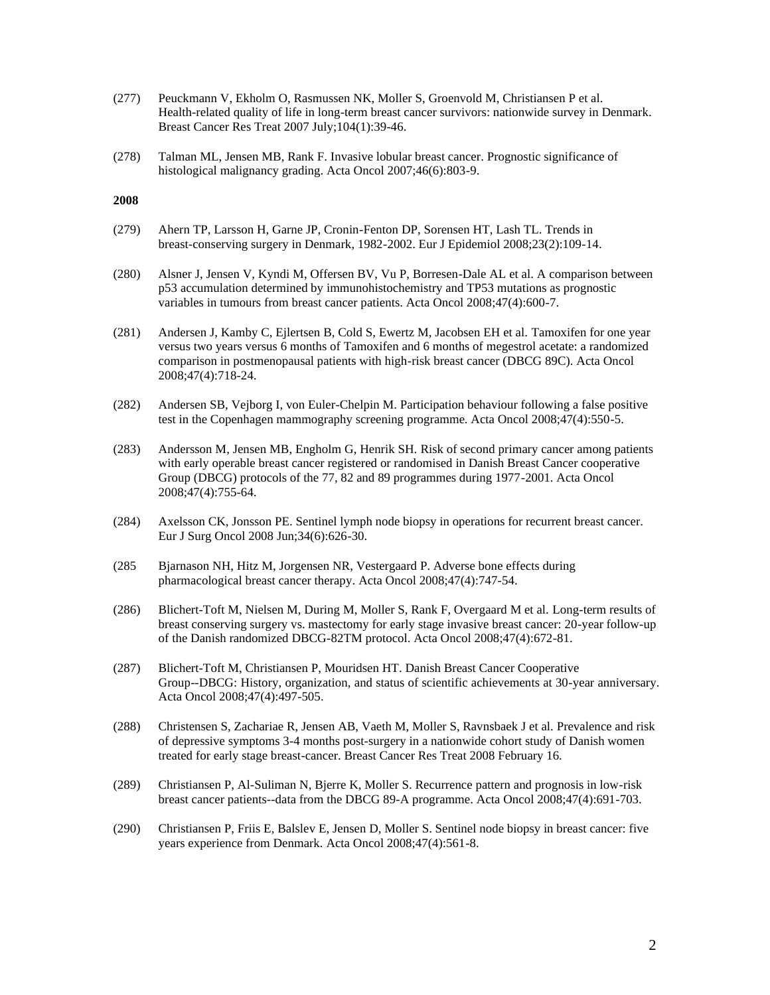- (277) Peuckmann V, Ekholm O, Rasmussen NK, Moller S, Groenvold M, Christiansen P et al. Health-related quality of life in long-term breast cancer survivors: nationwide survey in Denmark. Breast Cancer Res Treat 2007 July;104(1):39-46.
- (278) Talman ML, Jensen MB, Rank F. Invasive lobular breast cancer. Prognostic significance of histological malignancy grading. Acta Oncol 2007;46(6):803-9.

- (279) Ahern TP, Larsson H, Garne JP, Cronin-Fenton DP, Sorensen HT, Lash TL. Trends in breast-conserving surgery in Denmark, 1982-2002. Eur J Epidemiol 2008;23(2):109-14.
- (280) Alsner J, Jensen V, Kyndi M, Offersen BV, Vu P, Borresen-Dale AL et al. A comparison between p53 accumulation determined by immunohistochemistry and TP53 mutations as prognostic variables in tumours from breast cancer patients. Acta Oncol 2008;47(4):600-7.
- (281) Andersen J, Kamby C, Ejlertsen B, Cold S, Ewertz M, Jacobsen EH et al. Tamoxifen for one year versus two years versus 6 months of Tamoxifen and 6 months of megestrol acetate: a randomized comparison in postmenopausal patients with high-risk breast cancer (DBCG 89C). Acta Oncol 2008;47(4):718-24.
- (282) Andersen SB, Vejborg I, von Euler-Chelpin M. Participation behaviour following a false positive test in the Copenhagen mammography screening programme. Acta Oncol 2008;47(4):550-5.
- (283) Andersson M, Jensen MB, Engholm G, Henrik SH. Risk of second primary cancer among patients with early operable breast cancer registered or randomised in Danish Breast Cancer cooperative Group (DBCG) protocols of the 77, 82 and 89 programmes during 1977-2001. Acta Oncol 2008;47(4):755-64.
- (284) Axelsson CK, Jonsson PE. Sentinel lymph node biopsy in operations for recurrent breast cancer. Eur J Surg Oncol 2008 Jun;34(6):626-30.
- (285 Bjarnason NH, Hitz M, Jorgensen NR, Vestergaard P. Adverse bone effects during pharmacological breast cancer therapy. Acta Oncol 2008;47(4):747-54.
- (286) Blichert-Toft M, Nielsen M, During M, Moller S, Rank F, Overgaard M et al. Long-term results of breast conserving surgery vs. mastectomy for early stage invasive breast cancer: 20-year follow-up of the Danish randomized DBCG-82TM protocol. Acta Oncol 2008;47(4):672-81.
- (287) Blichert-Toft M, Christiansen P, Mouridsen HT. Danish Breast Cancer Cooperative Group--DBCG: History, organization, and status of scientific achievements at 30-year anniversary. Acta Oncol 2008;47(4):497-505.
- (288) Christensen S, Zachariae R, Jensen AB, Vaeth M, Moller S, Ravnsbaek J et al. Prevalence and risk of depressive symptoms 3-4 months post-surgery in a nationwide cohort study of Danish women treated for early stage breast-cancer. Breast Cancer Res Treat 2008 February 16.
- (289) Christiansen P, Al-Suliman N, Bjerre K, Moller S. Recurrence pattern and prognosis in low-risk breast cancer patients--data from the DBCG 89-A programme. Acta Oncol 2008;47(4):691-703.
- (290) Christiansen P, Friis E, Balslev E, Jensen D, Moller S. Sentinel node biopsy in breast cancer: five years experience from Denmark. Acta Oncol 2008;47(4):561-8.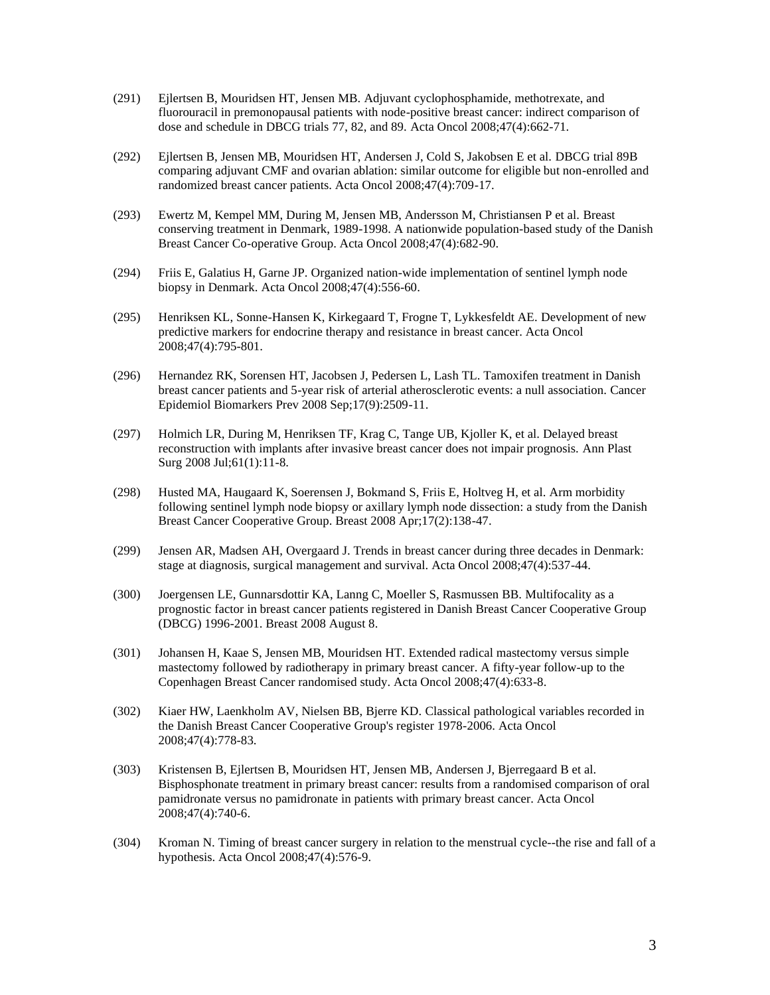- (291) Ejlertsen B, Mouridsen HT, Jensen MB. Adjuvant cyclophosphamide, methotrexate, and fluorouracil in premonopausal patients with node-positive breast cancer: indirect comparison of dose and schedule in DBCG trials 77, 82, and 89. Acta Oncol 2008;47(4):662-71.
- (292) Ejlertsen B, Jensen MB, Mouridsen HT, Andersen J, Cold S, Jakobsen E et al. DBCG trial 89B comparing adjuvant CMF and ovarian ablation: similar outcome for eligible but non-enrolled and randomized breast cancer patients. Acta Oncol 2008;47(4):709-17.
- (293) Ewertz M, Kempel MM, During M, Jensen MB, Andersson M, Christiansen P et al. Breast conserving treatment in Denmark, 1989-1998. A nationwide population-based study of the Danish Breast Cancer Co-operative Group. Acta Oncol 2008;47(4):682-90.
- (294) Friis E, Galatius H, Garne JP. Organized nation-wide implementation of sentinel lymph node biopsy in Denmark. Acta Oncol 2008;47(4):556-60.
- (295) Henriksen KL, Sonne-Hansen K, Kirkegaard T, Frogne T, Lykkesfeldt AE. Development of new predictive markers for endocrine therapy and resistance in breast cancer. Acta Oncol 2008;47(4):795-801.
- (296) Hernandez RK, Sorensen HT, Jacobsen J, Pedersen L, Lash TL. Tamoxifen treatment in Danish breast cancer patients and 5-year risk of arterial atherosclerotic events: a null association. Cancer Epidemiol Biomarkers Prev 2008 Sep;17(9):2509-11.
- (297) Holmich LR, During M, Henriksen TF, Krag C, Tange UB, Kjoller K, et al. Delayed breast reconstruction with implants after invasive breast cancer does not impair prognosis. Ann Plast Surg 2008 Jul;61(1):11-8.
- (298) Husted MA, Haugaard K, Soerensen J, Bokmand S, Friis E, Holtveg H, et al. Arm morbidity following sentinel lymph node biopsy or axillary lymph node dissection: a study from the Danish Breast Cancer Cooperative Group. Breast 2008 Apr;17(2):138-47.
- (299) Jensen AR, Madsen AH, Overgaard J. Trends in breast cancer during three decades in Denmark: stage at diagnosis, surgical management and survival. Acta Oncol 2008;47(4):537-44.
- (300) Joergensen LE, Gunnarsdottir KA, Lanng C, Moeller S, Rasmussen BB. Multifocality as a prognostic factor in breast cancer patients registered in Danish Breast Cancer Cooperative Group (DBCG) 1996-2001. Breast 2008 August 8.
- (301) Johansen H, Kaae S, Jensen MB, Mouridsen HT. Extended radical mastectomy versus simple mastectomy followed by radiotherapy in primary breast cancer. A fifty-year follow-up to the Copenhagen Breast Cancer randomised study. Acta Oncol 2008;47(4):633-8.
- (302) Kiaer HW, Laenkholm AV, Nielsen BB, Bjerre KD. Classical pathological variables recorded in the Danish Breast Cancer Cooperative Group's register 1978-2006. Acta Oncol 2008;47(4):778-83.
- (303) Kristensen B, Ejlertsen B, Mouridsen HT, Jensen MB, Andersen J, Bjerregaard B et al. Bisphosphonate treatment in primary breast cancer: results from a randomised comparison of oral pamidronate versus no pamidronate in patients with primary breast cancer. Acta Oncol 2008;47(4):740-6.
- (304) Kroman N. Timing of breast cancer surgery in relation to the menstrual cycle--the rise and fall of a hypothesis. Acta Oncol 2008;47(4):576-9.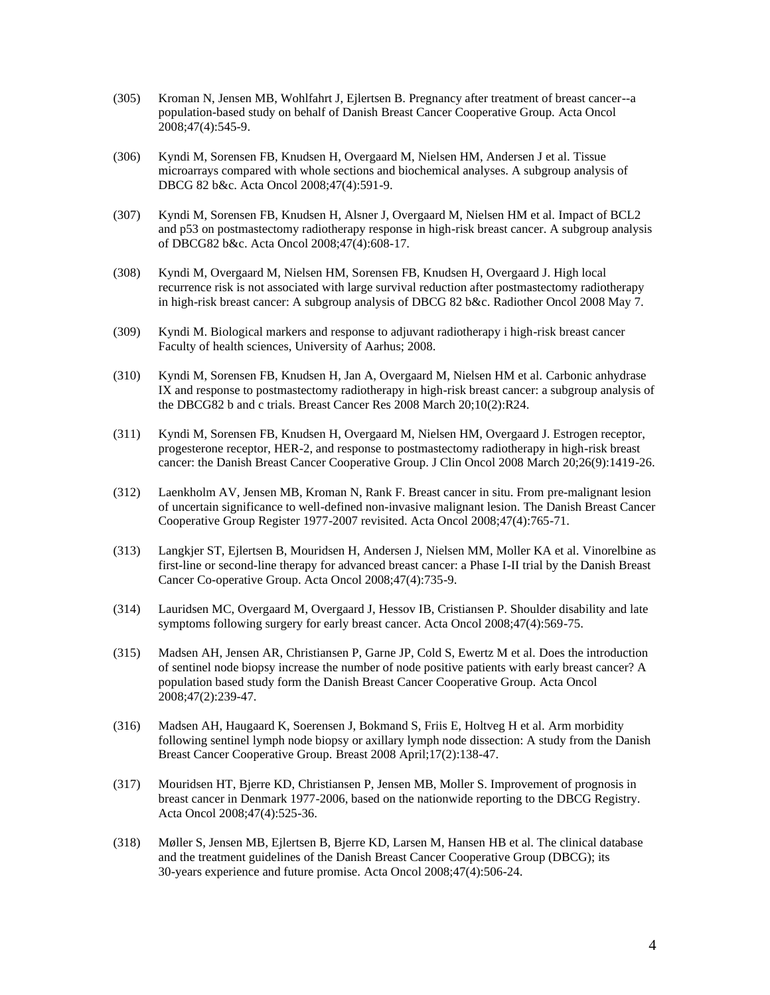- (305) Kroman N, Jensen MB, Wohlfahrt J, Ejlertsen B. Pregnancy after treatment of breast cancer--a population-based study on behalf of Danish Breast Cancer Cooperative Group. Acta Oncol 2008;47(4):545-9.
- (306) Kyndi M, Sorensen FB, Knudsen H, Overgaard M, Nielsen HM, Andersen J et al. Tissue microarrays compared with whole sections and biochemical analyses. A subgroup analysis of DBCG 82 b&c. Acta Oncol 2008;47(4):591-9.
- (307) Kyndi M, Sorensen FB, Knudsen H, Alsner J, Overgaard M, Nielsen HM et al. Impact of BCL2 and p53 on postmastectomy radiotherapy response in high-risk breast cancer. A subgroup analysis of DBCG82 b&c. Acta Oncol 2008;47(4):608-17.
- (308) Kyndi M, Overgaard M, Nielsen HM, Sorensen FB, Knudsen H, Overgaard J. High local recurrence risk is not associated with large survival reduction after postmastectomy radiotherapy in high-risk breast cancer: A subgroup analysis of DBCG 82 b&c. Radiother Oncol 2008 May 7.
- (309) Kyndi M. Biological markers and response to adjuvant radiotherapy i high-risk breast cancer Faculty of health sciences, University of Aarhus; 2008.
- (310) Kyndi M, Sorensen FB, Knudsen H, Jan A, Overgaard M, Nielsen HM et al. Carbonic anhydrase IX and response to postmastectomy radiotherapy in high-risk breast cancer: a subgroup analysis of the DBCG82 b and c trials. Breast Cancer Res 2008 March 20;10(2):R24.
- (311) Kyndi M, Sorensen FB, Knudsen H, Overgaard M, Nielsen HM, Overgaard J. Estrogen receptor, progesterone receptor, HER-2, and response to postmastectomy radiotherapy in high-risk breast cancer: the Danish Breast Cancer Cooperative Group. J Clin Oncol 2008 March 20;26(9):1419-26.
- (312) Laenkholm AV, Jensen MB, Kroman N, Rank F. Breast cancer in situ. From pre-malignant lesion of uncertain significance to well-defined non-invasive malignant lesion. The Danish Breast Cancer Cooperative Group Register 1977-2007 revisited. Acta Oncol 2008;47(4):765-71.
- (313) Langkjer ST, Ejlertsen B, Mouridsen H, Andersen J, Nielsen MM, Moller KA et al. Vinorelbine as first-line or second-line therapy for advanced breast cancer: a Phase I-II trial by the Danish Breast Cancer Co-operative Group. Acta Oncol 2008;47(4):735-9.
- (314) Lauridsen MC, Overgaard M, Overgaard J, Hessov IB, Cristiansen P. Shoulder disability and late symptoms following surgery for early breast cancer. Acta Oncol 2008;47(4):569-75.
- (315) Madsen AH, Jensen AR, Christiansen P, Garne JP, Cold S, Ewertz M et al. Does the introduction of sentinel node biopsy increase the number of node positive patients with early breast cancer? A population based study form the Danish Breast Cancer Cooperative Group. Acta Oncol 2008;47(2):239-47.
- (316) Madsen AH, Haugaard K, Soerensen J, Bokmand S, Friis E, Holtveg H et al. Arm morbidity following sentinel lymph node biopsy or axillary lymph node dissection: A study from the Danish Breast Cancer Cooperative Group. Breast 2008 April;17(2):138-47.
- (317) Mouridsen HT, Bjerre KD, Christiansen P, Jensen MB, Moller S. Improvement of prognosis in breast cancer in Denmark 1977-2006, based on the nationwide reporting to the DBCG Registry. Acta Oncol 2008;47(4):525-36.
- (318) Møller S, Jensen MB, Ejlertsen B, Bjerre KD, Larsen M, Hansen HB et al. The clinical database and the treatment guidelines of the Danish Breast Cancer Cooperative Group (DBCG); its 30-years experience and future promise. Acta Oncol 2008;47(4):506-24.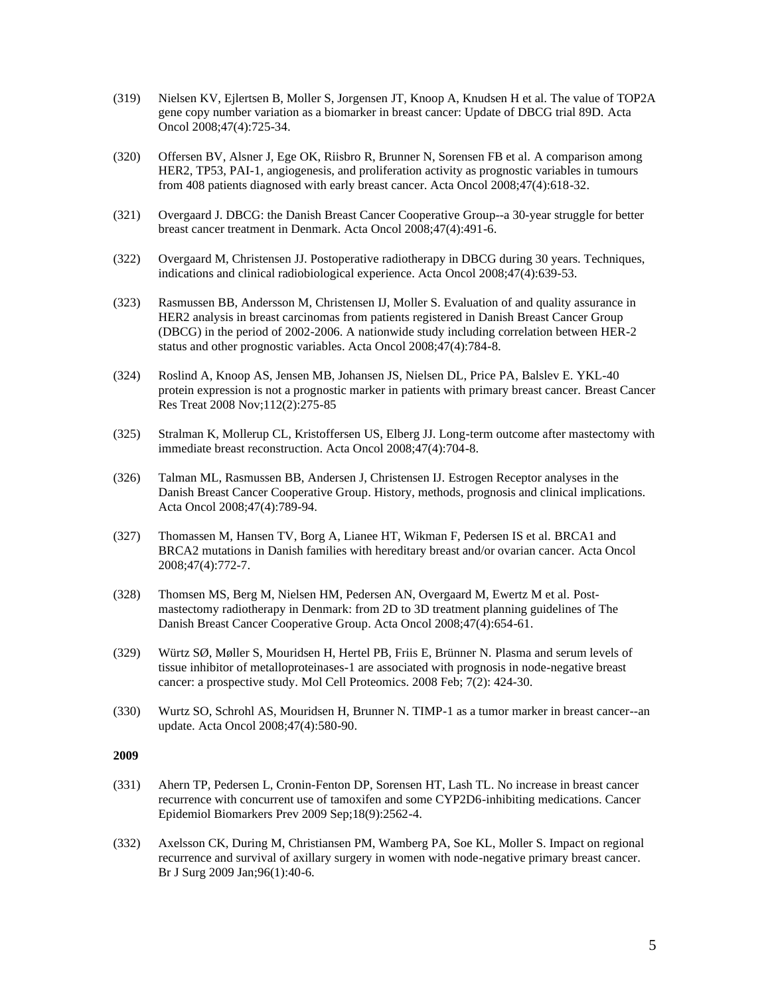- (319) Nielsen KV, Ejlertsen B, Moller S, Jorgensen JT, Knoop A, Knudsen H et al. The value of TOP2A gene copy number variation as a biomarker in breast cancer: Update of DBCG trial 89D. Acta Oncol 2008;47(4):725-34.
- (320) Offersen BV, Alsner J, Ege OK, Riisbro R, Brunner N, Sorensen FB et al. A comparison among HER2, TP53, PAI-1, angiogenesis, and proliferation activity as prognostic variables in tumours from 408 patients diagnosed with early breast cancer. Acta Oncol 2008;47(4):618-32.
- (321) Overgaard J. DBCG: the Danish Breast Cancer Cooperative Group--a 30-year struggle for better breast cancer treatment in Denmark. Acta Oncol 2008;47(4):491-6.
- (322) Overgaard M, Christensen JJ. Postoperative radiotherapy in DBCG during 30 years. Techniques, indications and clinical radiobiological experience. Acta Oncol 2008;47(4):639-53.
- (323) Rasmussen BB, Andersson M, Christensen IJ, Moller S. Evaluation of and quality assurance in HER2 analysis in breast carcinomas from patients registered in Danish Breast Cancer Group (DBCG) in the period of 2002-2006. A nationwide study including correlation between HER-2 status and other prognostic variables. Acta Oncol 2008;47(4):784-8.
- (324) Roslind A, Knoop AS, Jensen MB, Johansen JS, Nielsen DL, Price PA, Balslev E. YKL-40 protein expression is not a prognostic marker in patients with primary breast cancer. Breast Cancer Res Treat 2008 Nov;112(2):275-85
- (325) Stralman K, Mollerup CL, Kristoffersen US, Elberg JJ. Long-term outcome after mastectomy with immediate breast reconstruction. Acta Oncol 2008;47(4):704-8.
- (326) Talman ML, Rasmussen BB, Andersen J, Christensen IJ. Estrogen Receptor analyses in the Danish Breast Cancer Cooperative Group. History, methods, prognosis and clinical implications. Acta Oncol 2008;47(4):789-94.
- (327) Thomassen M, Hansen TV, Borg A, Lianee HT, Wikman F, Pedersen IS et al. BRCA1 and BRCA2 mutations in Danish families with hereditary breast and/or ovarian cancer. Acta Oncol 2008;47(4):772-7.
- (328) Thomsen MS, Berg M, Nielsen HM, Pedersen AN, Overgaard M, Ewertz M et al. Postmastectomy radiotherapy in Denmark: from 2D to 3D treatment planning guidelines of The Danish Breast Cancer Cooperative Group. Acta Oncol 2008;47(4):654-61.
- (329) Würtz SØ, Møller S, Mouridsen H, Hertel PB, Friis E, Brünner N. Plasma and serum levels of tissue inhibitor of metalloproteinases-1 are associated with prognosis in node-negative breast cancer: a prospective study. Mol Cell Proteomics. 2008 Feb; 7(2): 424-30.
- (330) Wurtz SO, Schrohl AS, Mouridsen H, Brunner N. TIMP-1 as a tumor marker in breast cancer--an update. Acta Oncol 2008;47(4):580-90.

- (331) Ahern TP, Pedersen L, Cronin-Fenton DP, Sorensen HT, Lash TL. No increase in breast cancer recurrence with concurrent use of tamoxifen and some CYP2D6-inhibiting medications. Cancer Epidemiol Biomarkers Prev 2009 Sep;18(9):2562-4.
- (332) Axelsson CK, During M, Christiansen PM, Wamberg PA, Soe KL, Moller S. Impact on regional recurrence and survival of axillary surgery in women with node-negative primary breast cancer. Br J Surg 2009 Jan;96(1):40-6.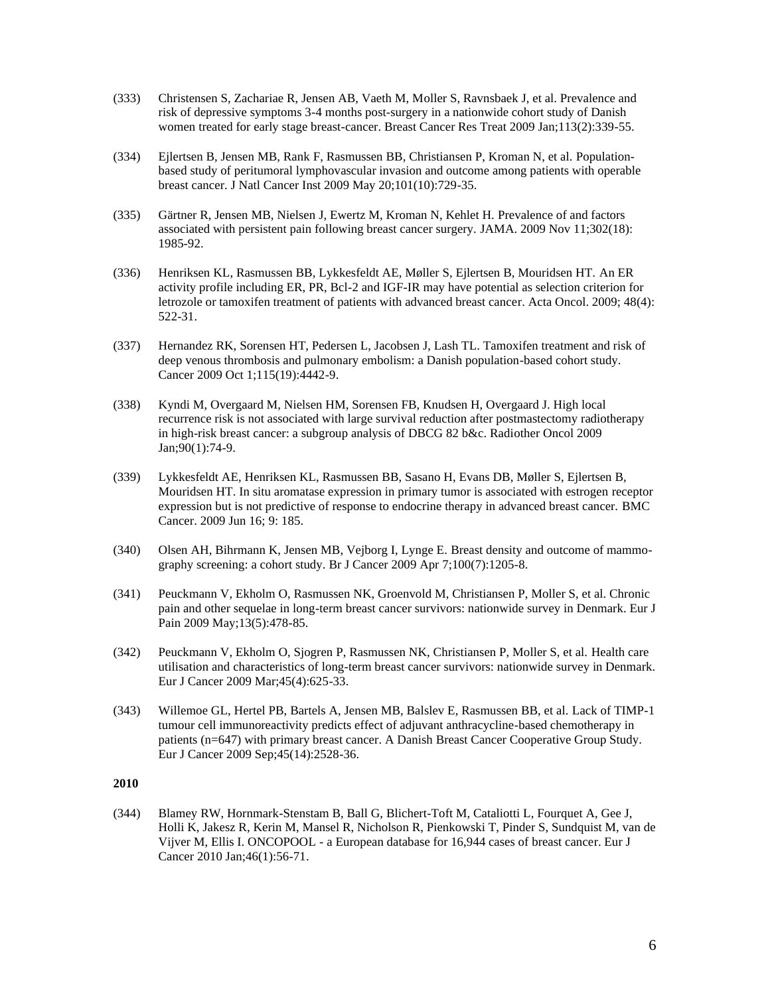- (333) Christensen S, Zachariae R, Jensen AB, Vaeth M, Moller S, Ravnsbaek J, et al. Prevalence and risk of depressive symptoms 3-4 months post-surgery in a nationwide cohort study of Danish women treated for early stage breast-cancer. Breast Cancer Res Treat 2009 Jan;113(2):339-55.
- (334) Ejlertsen B, Jensen MB, Rank F, Rasmussen BB, Christiansen P, Kroman N, et al. Populationbased study of peritumoral lymphovascular invasion and outcome among patients with operable breast cancer. J Natl Cancer Inst 2009 May 20;101(10):729-35.
- (335) Gärtner R, Jensen MB, Nielsen J, Ewertz M, Kroman N, Kehlet H. Prevalence of and factors associated with persistent pain following breast cancer surgery. JAMA. 2009 Nov 11;302(18): 1985-92.
- (336) Henriksen KL, Rasmussen BB, Lykkesfeldt AE, Møller S, Ejlertsen B, Mouridsen HT. An ER activity profile including ER, PR, Bcl-2 and IGF-IR may have potential as selection criterion for letrozole or tamoxifen treatment of patients with advanced breast cancer. Acta Oncol. 2009; 48(4): 522-31.
- (337) Hernandez RK, Sorensen HT, Pedersen L, Jacobsen J, Lash TL. Tamoxifen treatment and risk of deep venous thrombosis and pulmonary embolism: a Danish population-based cohort study. Cancer 2009 Oct 1;115(19):4442-9.
- (338) Kyndi M, Overgaard M, Nielsen HM, Sorensen FB, Knudsen H, Overgaard J. High local recurrence risk is not associated with large survival reduction after postmastectomy radiotherapy in high-risk breast cancer: a subgroup analysis of DBCG 82 b&c. Radiother Oncol 2009 Jan;90(1):74-9.
- (339) Lykkesfeldt AE, Henriksen KL, Rasmussen BB, Sasano H, Evans DB, Møller S, Ejlertsen B, Mouridsen HT. In situ aromatase expression in primary tumor is associated with estrogen receptor expression but is not predictive of response to endocrine therapy in advanced breast cancer. BMC Cancer. 2009 Jun 16; 9: 185.
- (340) Olsen AH, Bihrmann K, Jensen MB, Vejborg I, Lynge E. Breast density and outcome of mammography screening: a cohort study. Br J Cancer 2009 Apr 7;100(7):1205-8.
- (341) Peuckmann V, Ekholm O, Rasmussen NK, Groenvold M, Christiansen P, Moller S, et al. Chronic pain and other sequelae in long-term breast cancer survivors: nationwide survey in Denmark. Eur J Pain 2009 May;13(5):478-85.
- (342) Peuckmann V, Ekholm O, Sjogren P, Rasmussen NK, Christiansen P, Moller S, et al. Health care utilisation and characteristics of long-term breast cancer survivors: nationwide survey in Denmark. Eur J Cancer 2009 Mar;45(4):625-33.
- (343) Willemoe GL, Hertel PB, Bartels A, Jensen MB, Balslev E, Rasmussen BB, et al. Lack of TIMP-1 tumour cell immunoreactivity predicts effect of adjuvant anthracycline-based chemotherapy in patients (n=647) with primary breast cancer. A Danish Breast Cancer Cooperative Group Study. Eur J Cancer 2009 Sep;45(14):2528-36.

(344) Blamey RW, Hornmark-Stenstam B, Ball G, Blichert-Toft M, Cataliotti L, Fourquet A, Gee J, Holli K, Jakesz R, Kerin M, Mansel R, Nicholson R, Pienkowski T, Pinder S, Sundquist M, van de Vijver M, Ellis I. ONCOPOOL - a European database for 16,944 cases of breast cancer. Eur J Cancer 2010 Jan;46(1):56-71.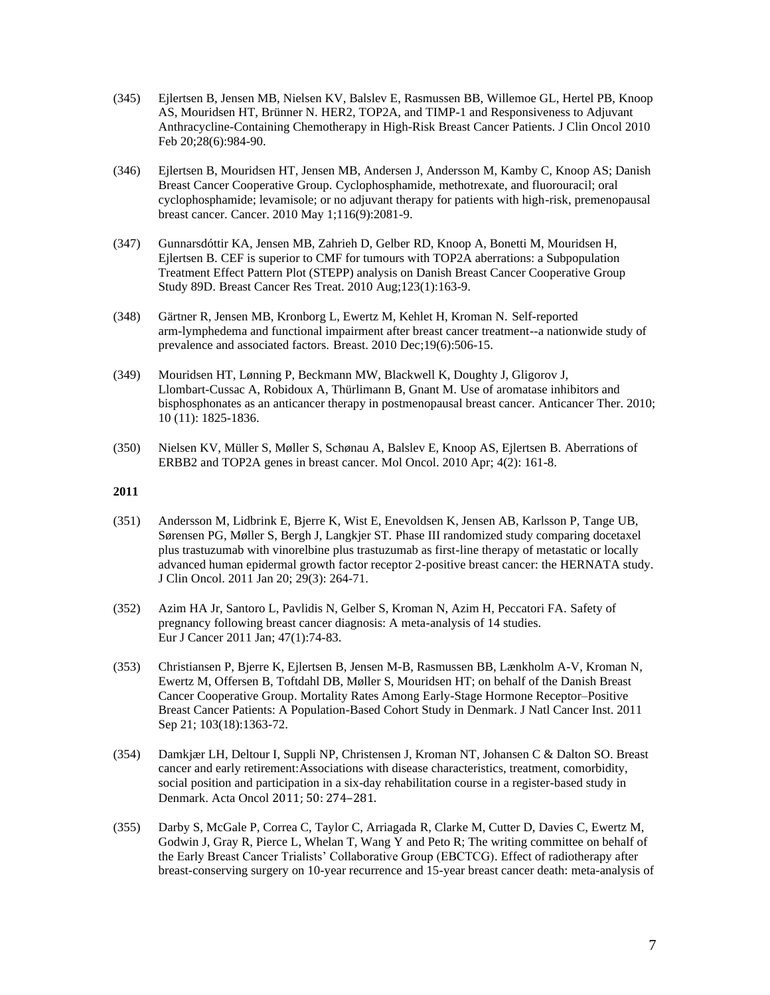- (345) Ejlertsen B, Jensen MB, Nielsen KV, Balslev E, Rasmussen BB, Willemoe GL, Hertel PB, Knoop AS, Mouridsen HT, Brünner N. HER2, TOP2A, and TIMP-1 and Responsiveness to Adjuvant Anthracycline-Containing Chemotherapy in High-Risk Breast Cancer Patients. J Clin Oncol 2010 Feb 20;28(6):984-90.
- (346) Ejlertsen B, Mouridsen HT, Jensen MB, Andersen J, Andersson M, Kamby C, Knoop AS; Danish Breast Cancer Cooperative Group. Cyclophosphamide, methotrexate, and fluorouracil; oral cyclophosphamide; levamisole; or no adjuvant therapy for patients with high-risk, premenopausal breast cancer. Cancer. 2010 May 1;116(9):2081-9.
- (347) Gunnarsdóttir KA, Jensen MB, Zahrieh D, Gelber RD, Knoop A, Bonetti M, Mouridsen H, Ejlertsen B. CEF is superior to CMF for tumours with TOP2A aberrations: a Subpopulation Treatment Effect Pattern Plot (STEPP) analysis on Danish Breast Cancer Cooperative Group Study 89D. Breast Cancer Res Treat. 2010 Aug;123(1):163-9.
- (348) Gärtner R, Jensen MB, Kronborg L, Ewertz M, Kehlet H, Kroman N. Self-reported arm-lymphedema and functional impairment after breast cancer treatment--a nationwide study of prevalence and associated factors. Breast. 2010 Dec;19(6):506-15.
- (349) Mouridsen HT, Lønning P, Beckmann MW, Blackwell K, Doughty J, Gligorov J, Llombart-Cussac A, Robidoux A, Thürlimann B, Gnant M. Use of aromatase inhibitors and bisphosphonates as an anticancer therapy in postmenopausal breast cancer. Anticancer Ther. 2010; 10 (11): 1825-1836.
- (350) Nielsen KV, Müller S, Møller S, Schønau A, Balslev E, Knoop AS, Ejlertsen B. Aberrations of ERBB2 and TOP2A genes in breast cancer. Mol Oncol. 2010 Apr; 4(2): 161-8.

- (351) Andersson M, Lidbrink E, Bjerre K, Wist E, Enevoldsen K, Jensen AB, Karlsson P, Tange UB, Sørensen PG, Møller S, Bergh J, Langkjer ST. Phase III randomized study comparing docetaxel plus trastuzumab with vinorelbine plus trastuzumab as first-line therapy of metastatic or locally advanced human epidermal growth factor receptor 2-positive breast cancer: the HERNATA study. J Clin Oncol. 2011 Jan 20; 29(3): 264-71.
- (352) Azim HA Jr, Santoro L, Pavlidis N, Gelber S, Kroman N, Azim H, Peccatori FA. Safety of pregnancy following breast cancer diagnosis: A meta-analysis of 14 studies. Eur J Cancer 2011 Jan; 47(1):74-83.
- (353) Christiansen P, Bjerre K, Ejlertsen B, Jensen M-B, Rasmussen BB, Lænkholm A-V, Kroman N, Ewertz M, Offersen B, Toftdahl DB, Møller S, Mouridsen HT; on behalf of the Danish Breast Cancer Cooperative Group. Mortality Rates Among Early-Stage Hormone Receptor–Positive Breast Cancer Patients: A Population-Based Cohort Study in Denmark. J Natl Cancer Inst. 2011 Sep 21; 103(18):1363-72.
- (354) Damkjær LH, Deltour I, Suppli NP, Christensen J, Kroman NT, Johansen C & Dalton SO. Breast cancer and early retirement:Associations with disease characteristics, treatment, comorbidity, social position and participation in a six-day rehabilitation course in a register-based study in Denmark. Acta Oncol 2011; 50: 274–281.
- (355) Darby S, McGale P, Correa C, Taylor C, Arriagada R, Clarke M, Cutter D, Davies C, Ewertz M, Godwin J, Gray R, Pierce L, Whelan T, Wang Y and Peto R; The writing committee on behalf of the Early Breast Cancer Trialists' Collaborative Group (EBCTCG). Effect of radiotherapy after breast-conserving surgery on 10-year recurrence and 15-year breast cancer death: meta-analysis of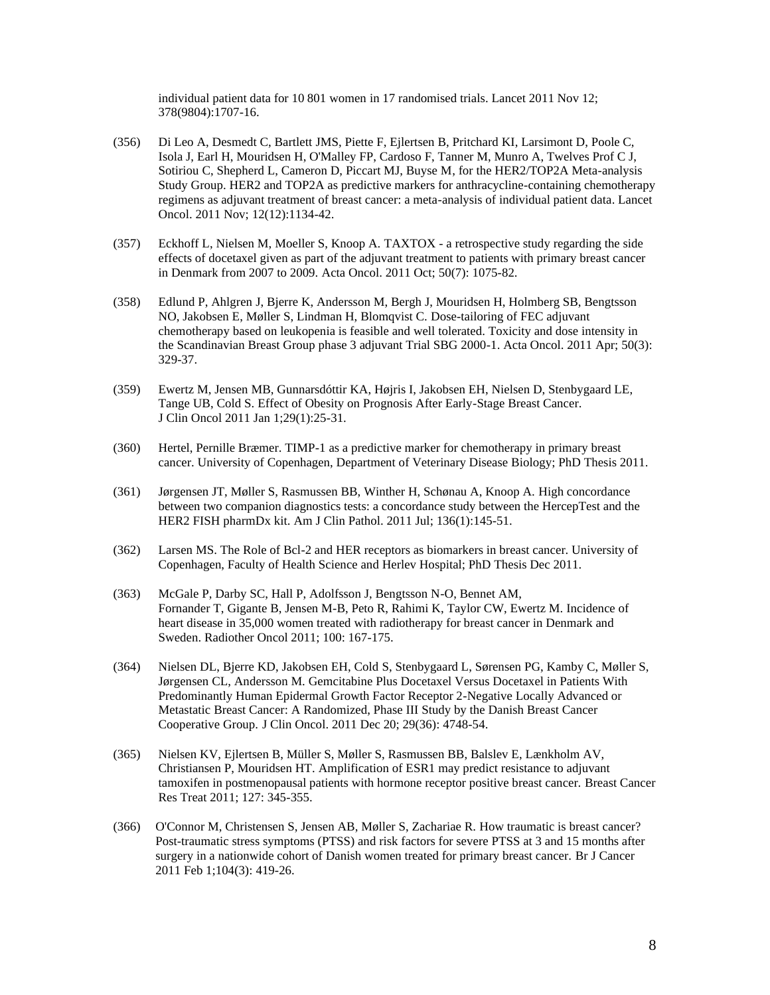individual patient data for 10 801 women in 17 randomised trials. Lancet 2011 Nov 12; 378(9804):1707-16.

- (356) Di Leo A, Desmedt C, Bartlett JMS, Piette F, Ejlertsen B, Pritchard KI, Larsimont D, Poole C, Isola J, Earl H, Mouridsen H, O'Malley FP, Cardoso F, Tanner M, Munro A, Twelves Prof C J, Sotiriou C, Shepherd L, Cameron D, Piccart MJ, Buyse M, for the HER2/TOP2A Meta-analysis Study Group. HER2 and TOP2A as predictive markers for anthracycline-containing chemotherapy regimens as adjuvant treatment of breast cancer: a meta-analysis of individual patient data. Lancet Oncol. 2011 Nov; 12(12):1134-42.
- (357) Eckhoff L, Nielsen M, Moeller S, Knoop A. TAXTOX a retrospective study regarding the side effects of docetaxel given as part of the adjuvant treatment to patients with primary breast cancer in Denmark from 2007 to 2009. Acta Oncol. 2011 Oct; 50(7): 1075-82.
- (358) Edlund P, Ahlgren J, Bjerre K, Andersson M, Bergh J, Mouridsen H, Holmberg SB, Bengtsson NO, Jakobsen E, Møller S, Lindman H, Blomqvist C. Dose-tailoring of FEC adjuvant chemotherapy based on leukopenia is feasible and well tolerated. Toxicity and dose intensity in the Scandinavian Breast Group phase 3 adjuvant Trial SBG 2000-1. Acta Oncol. 2011 Apr; 50(3): 329-37.
- (359) Ewertz M, Jensen MB, Gunnarsdóttir KA, Højris I, Jakobsen EH, Nielsen D, Stenbygaard LE, Tange UB, Cold S. Effect of Obesity on Prognosis After Early-Stage Breast Cancer. J Clin Oncol 2011 Jan 1;29(1):25-31.
- (360) Hertel, Pernille Bræmer. TIMP-1 as a predictive marker for chemotherapy in primary breast cancer. University of Copenhagen, Department of Veterinary Disease Biology; PhD Thesis 2011.
- (361) Jørgensen JT, Møller S, Rasmussen BB, Winther H, Schønau A, Knoop A. High concordance between two companion diagnostics tests: a concordance study between the HercepTest and the HER2 FISH pharmDx kit. Am J Clin Pathol. 2011 Jul; 136(1):145-51.
- (362) Larsen MS. The Role of Bcl-2 and HER receptors as biomarkers in breast cancer. University of Copenhagen, Faculty of Health Science and Herlev Hospital; PhD Thesis Dec 2011.
- (363) McGale P, Darby SC, Hall P, Adolfsson J, Bengtsson N-O, Bennet AM, Fornander T, Gigante B, Jensen M-B, Peto R, Rahimi K, Taylor CW, Ewertz M. Incidence of heart disease in 35,000 women treated with radiotherapy for breast cancer in Denmark and Sweden. Radiother Oncol 2011; 100: 167-175.
- (364) Nielsen DL, Bjerre KD, Jakobsen EH, Cold S, Stenbygaard L, Sørensen PG, Kamby C, Møller S, Jørgensen CL, Andersson M. Gemcitabine Plus Docetaxel Versus Docetaxel in Patients With Predominantly Human Epidermal Growth Factor Receptor 2-Negative Locally Advanced or Metastatic Breast Cancer: A Randomized, Phase III Study by the Danish Breast Cancer Cooperative Group. J Clin Oncol. 2011 Dec 20; 29(36): 4748-54.
- (365) Nielsen KV, Ejlertsen B, Müller S, Møller S, Rasmussen BB, Balslev E, Lænkholm AV, Christiansen P, Mouridsen HT. Amplification of ESR1 may predict resistance to adjuvant tamoxifen in postmenopausal patients with hormone receptor positive breast cancer. Breast Cancer Res Treat 2011; 127: 345-355.
- (366) O'Connor M, Christensen S, Jensen AB, Møller S, Zachariae R. How traumatic is breast cancer? Post-traumatic stress symptoms (PTSS) and risk factors for severe PTSS at 3 and 15 months after surgery in a nationwide cohort of Danish women treated for primary breast cancer. Br J Cancer 2011 Feb 1;104(3): 419-26.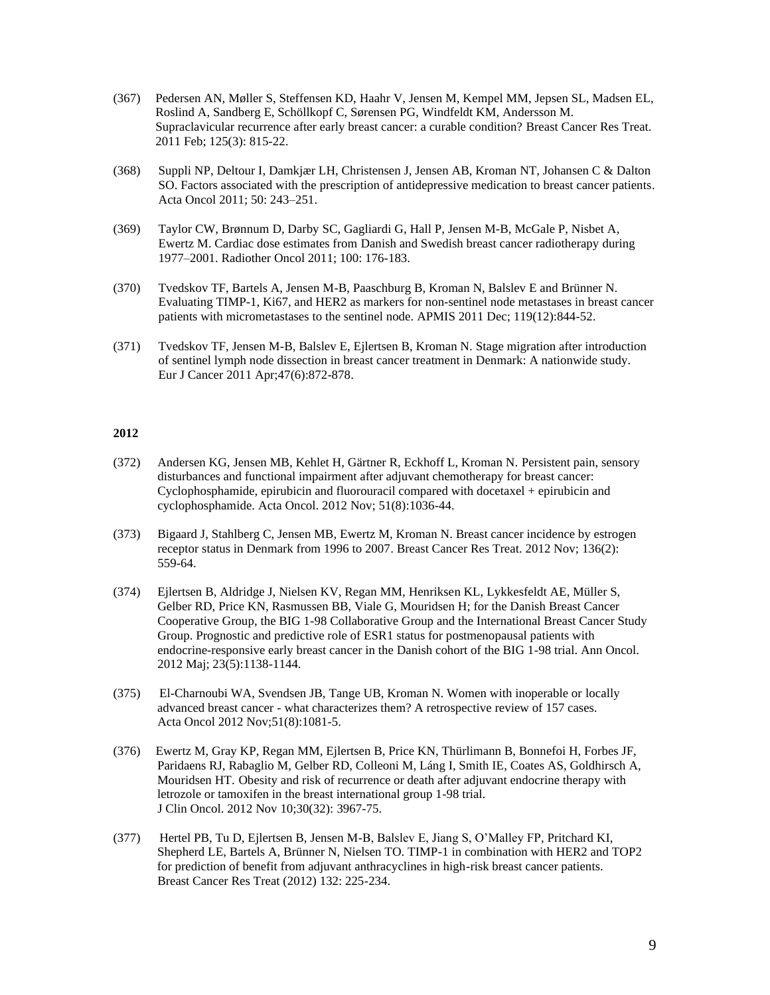- (367) Pedersen AN, Møller S, Steffensen KD, Haahr V, Jensen M, Kempel MM, Jepsen SL, Madsen EL, Roslind A, Sandberg E, Schöllkopf C, Sørensen PG, Windfeldt KM, Andersson M. Supraclavicular recurrence after early breast cancer: a curable condition? Breast Cancer Res Treat. 2011 Feb; 125(3): 815-22.
- (368) Suppli NP, Deltour I, Damkjær LH, Christensen J, Jensen AB, Kroman NT, Johansen C & Dalton SO. Factors associated with the prescription of antidepressive medication to breast cancer patients. Acta Oncol 2011; 50: 243–251.
- (369) Taylor CW, Brønnum D, Darby SC, Gagliardi G, Hall P, Jensen M-B, McGale P, Nisbet A, Ewertz M. Cardiac dose estimates from Danish and Swedish breast cancer radiotherapy during 1977–2001. Radiother Oncol 2011; 100: 176-183.
- (370) Tvedskov TF, Bartels A, Jensen M-B, Paaschburg B, Kroman N, Balslev E and Brünner N. Evaluating TIMP-1, Ki67, and HER2 as markers for non-sentinel node metastases in breast cancer patients with micrometastases to the sentinel node. APMIS 2011 Dec; 119(12):844-52.
- (371) Tvedskov TF, Jensen M-B, Balslev E, Ejlertsen B, Kroman N. Stage migration after introduction of sentinel lymph node dissection in breast cancer treatment in Denmark: A nationwide study. Eur J Cancer 2011 Apr;47(6):872-878.

- (372) Andersen KG, Jensen MB, Kehlet H, Gärtner R, Eckhoff L, Kroman N. Persistent pain, sensory disturbances and functional impairment after adjuvant chemotherapy for breast cancer: Cyclophosphamide, epirubicin and fluorouracil compared with docetaxel + epirubicin and cyclophosphamide. Acta Oncol. 2012 Nov; 51(8):1036-44.
- (373) Bigaard J, Stahlberg C, Jensen MB, Ewertz M, Kroman N. Breast cancer incidence by estrogen receptor status in Denmark from 1996 to 2007. Breast Cancer Res Treat. 2012 Nov; 136(2): 559-64.
- (374) Ejlertsen B, Aldridge J, Nielsen KV, Regan MM, Henriksen KL, Lykkesfeldt AE, Müller S, Gelber RD, Price KN, Rasmussen BB, Viale G, Mouridsen H; for the Danish Breast Cancer Cooperative Group, the BIG 1-98 Collaborative Group and the International Breast Cancer Study Group. Prognostic and predictive role of ESR1 status for postmenopausal patients with endocrine-responsive early breast cancer in the Danish cohort of the BIG 1-98 trial. Ann Oncol. 2012 Maj; 23(5):1138-1144.
- (375) El-Charnoubi WA, Svendsen JB, Tange UB, Kroman N. Women with inoperable or locally advanced breast cancer - what characterizes them? A retrospective review of 157 cases. Acta Oncol 2012 Nov;51(8):1081-5.
- (376) Ewertz M, Gray KP, Regan MM, Ejlertsen B, Price KN, Thürlimann B, Bonnefoi H, Forbes JF, Paridaens RJ, Rabaglio M, Gelber RD, Colleoni M, Láng I, Smith IE, Coates AS, Goldhirsch A, Mouridsen HT. Obesity and risk of recurrence or death after adjuvant endocrine therapy with letrozole or tamoxifen in the breast international group 1-98 trial. J Clin Oncol. 2012 Nov 10;30(32): 3967-75.
- (377) Hertel PB, Tu D, Ejlertsen B, Jensen M-B, Balslev E, Jiang S, O'Malley FP, Pritchard KI, Shepherd LE, Bartels A, Brünner N, Nielsen TO. TIMP-1 in combination with HER2 and TOP2 for prediction of benefit from adjuvant anthracyclines in high-risk breast cancer patients. Breast Cancer Res Treat (2012) 132: 225-234.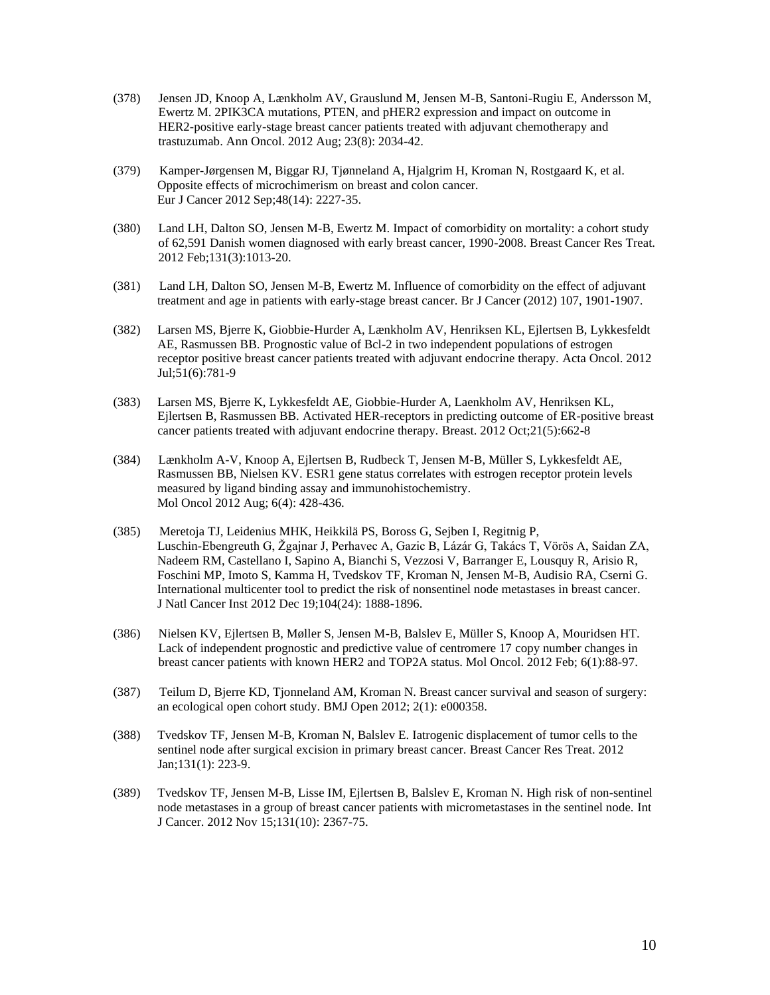- (378) Jensen JD, Knoop A, Lænkholm AV, Grauslund M, Jensen M-B, Santoni-Rugiu E, Andersson M, Ewertz M. 2PIK3CA mutations, PTEN, and pHER2 expression and impact on outcome in HER2-positive early-stage breast cancer patients treated with adjuvant chemotherapy and trastuzumab. Ann Oncol. 2012 Aug; 23(8): 2034-42.
- (379) Kamper-Jørgensen M, Biggar RJ, Tjønneland A, Hjalgrim H, Kroman N, Rostgaard K, et al. Opposite effects of microchimerism on breast and colon cancer. Eur J Cancer 2012 Sep;48(14): 2227-35.
- (380) Land LH, Dalton SO, Jensen M-B, Ewertz M. Impact of comorbidity on mortality: a cohort study of 62,591 Danish women diagnosed with early breast cancer, 1990-2008. Breast Cancer Res Treat. 2012 Feb;131(3):1013-20.
- (381) Land LH, Dalton SO, Jensen M-B, Ewertz M. Influence of comorbidity on the effect of adjuvant treatment and age in patients with early-stage breast cancer. Br J Cancer (2012) 107, 1901-1907.
- (382) Larsen MS, Bjerre K, Giobbie-Hurder A, Lænkholm AV, Henriksen KL, Ejlertsen B, Lykkesfeldt AE, Rasmussen BB. Prognostic value of Bcl-2 in two independent populations of estrogen receptor positive breast cancer patients treated with adjuvant endocrine therapy. Acta Oncol. 2012 Jul;51(6):781-9
- (383) Larsen MS, Bjerre K, Lykkesfeldt AE, Giobbie-Hurder A, Laenkholm AV, Henriksen KL, Ejlertsen B, Rasmussen BB. Activated HER-receptors in predicting outcome of ER-positive breast cancer patients treated with adjuvant endocrine therapy. Breast. 2012 Oct;21(5):662-8
- (384) Lænkholm A-V, Knoop A, Ejlertsen B, Rudbeck T, Jensen M-B, Müller S, Lykkesfeldt AE, Rasmussen BB, Nielsen KV. ESR1 gene status correlates with estrogen receptor protein levels measured by ligand binding assay and immunohistochemistry. Mol Oncol 2012 Aug; 6(4): 428-436.
- (385) Meretoja TJ, Leidenius MHK, Heikkilä PS, Boross G, Sejben I, Regitnig P, Luschin-Ebengreuth G, Žgajnar J, Perhavec A, Gazic B, Lázár G, Takács T, Vörös A, Saidan ZA, Nadeem RM, Castellano I, Sapino A, Bianchi S, Vezzosi V, Barranger E, Lousquy R, Arisio R, Foschini MP, Imoto S, Kamma H, Tvedskov TF, Kroman N, Jensen M-B, Audisio RA, Cserni G. International multicenter tool to predict the risk of nonsentinel node metastases in breast cancer. J Natl Cancer Inst 2012 Dec 19;104(24): 1888-1896.
- (386) Nielsen KV, Ejlertsen B, Møller S, Jensen M-B, Balslev E, Müller S, Knoop A, Mouridsen HT. Lack of independent prognostic and predictive value of centromere 17 copy number changes in breast cancer patients with known HER2 and TOP2A status. Mol Oncol. 2012 Feb; 6(1):88-97.
- (387) Teilum D, Bjerre KD, Tjonneland AM, Kroman N. Breast cancer survival and season of surgery: an ecological open cohort study. BMJ Open 2012; 2(1): e000358.
- (388) Tvedskov TF, Jensen M-B, Kroman N, Balslev E. Iatrogenic displacement of tumor cells to the sentinel node after surgical excision in primary breast cancer. Breast Cancer Res Treat. 2012 Jan;131(1): 223-9.
- (389) Tvedskov TF, Jensen M-B, Lisse IM, Ejlertsen B, Balslev E, Kroman N. High risk of non-sentinel node metastases in a group of breast cancer patients with micrometastases in the sentinel node. Int J Cancer. 2012 Nov 15;131(10): 2367-75.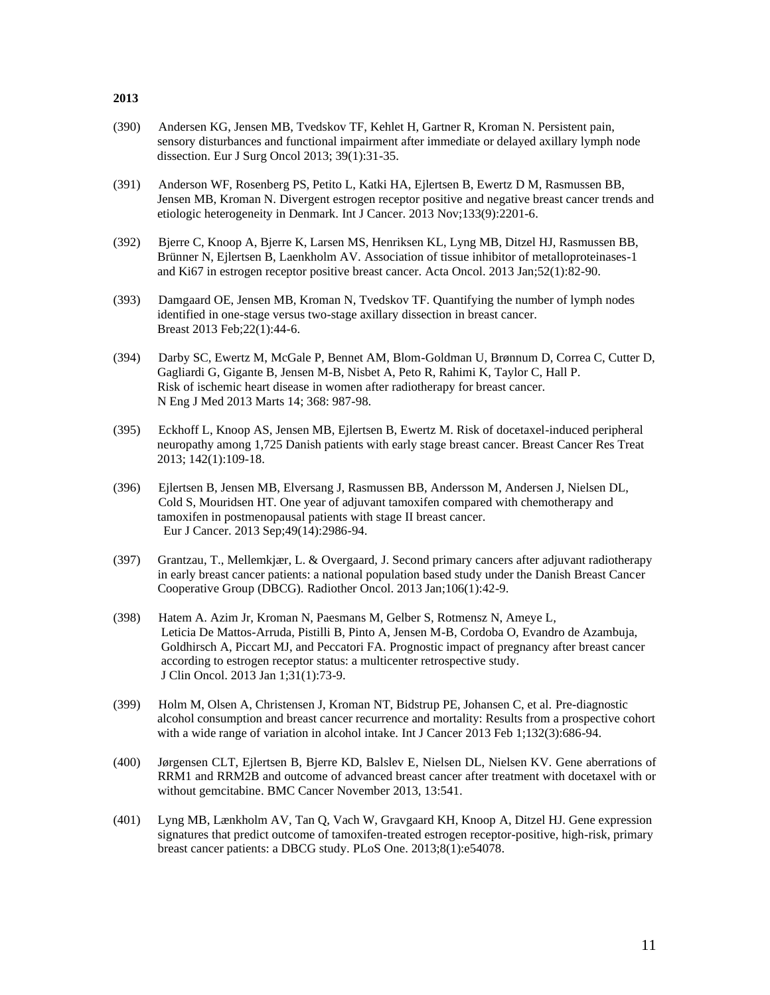- (390) Andersen KG, Jensen MB, Tvedskov TF, Kehlet H, Gartner R, Kroman N. Persistent pain, sensory disturbances and functional impairment after immediate or delayed axillary lymph node dissection. Eur J Surg Oncol 2013; 39(1):31-35.
- (391) Anderson WF, Rosenberg PS, Petito L, Katki HA, Ejlertsen B, Ewertz D M, Rasmussen BB, Jensen MB, Kroman N. Divergent estrogen receptor positive and negative breast cancer trends and etiologic heterogeneity in Denmark. Int J Cancer. 2013 Nov;133(9):2201-6.
- (392) Bjerre C, Knoop A, Bjerre K, Larsen MS, Henriksen KL, Lyng MB, Ditzel HJ, Rasmussen BB, Brünner N, Ejlertsen B, Laenkholm AV. Association of tissue inhibitor of metalloproteinases-1 and Ki67 in estrogen receptor positive breast cancer. Acta Oncol. 2013 Jan;52(1):82-90.
- (393) Damgaard OE, Jensen MB, Kroman N, Tvedskov TF. Quantifying the number of lymph nodes identified in one-stage versus two-stage axillary dissection in breast cancer. Breast 2013 Feb;22(1):44-6.
- (394) Darby SC, Ewertz M, McGale P, Bennet AM, Blom-Goldman U, Brønnum D, Correa C, Cutter D, Gagliardi G, Gigante B, Jensen M-B, Nisbet A, Peto R, Rahimi K, Taylor C, Hall P. Risk of ischemic heart disease in women after radiotherapy for breast cancer. N Eng J Med 2013 Marts 14; 368: 987-98.
- (395) Eckhoff L, Knoop AS, Jensen MB, Ejlertsen B, Ewertz M. Risk of docetaxel-induced peripheral neuropathy among 1,725 Danish patients with early stage breast cancer. Breast Cancer Res Treat 2013; 142(1):109-18.
- (396) Ejlertsen B, Jensen MB, Elversang J, Rasmussen BB, Andersson M, Andersen J, Nielsen DL, Cold S, Mouridsen HT. One year of adjuvant tamoxifen compared with chemotherapy and tamoxifen in postmenopausal patients with stage II breast cancer. Eur J Cancer. 2013 Sep;49(14):2986-94.
- (397) Grantzau, T., Mellemkjær, L. & Overgaard, J. Second primary cancers after adjuvant radiotherapy in early breast cancer patients: a national population based study under the Danish Breast Cancer Cooperative Group (DBCG). Radiother Oncol. 2013 Jan;106(1):42-9.
- (398) Hatem A. Azim Jr, Kroman N, Paesmans M, Gelber S, Rotmensz N, Ameye L, Leticia De Mattos-Arruda, Pistilli B, Pinto A, Jensen M-B, Cordoba O, Evandro de Azambuja, Goldhirsch A, Piccart MJ, and Peccatori FA. Prognostic impact of pregnancy after breast cancer according to estrogen receptor status: a multicenter retrospective study. J Clin Oncol. 2013 Jan 1;31(1):73-9.
- (399) Holm M, Olsen A, Christensen J, Kroman NT, Bidstrup PE, Johansen C, et al. Pre-diagnostic alcohol consumption and breast cancer recurrence and mortality: Results from a prospective cohort with a wide range of variation in alcohol intake. Int J Cancer 2013 Feb 1;132(3):686-94.
- (400) Jørgensen CLT, Ejlertsen B, Bjerre KD, Balslev E, Nielsen DL, Nielsen KV. Gene aberrations of RRM1 and RRM2B and outcome of advanced breast cancer after treatment with docetaxel with or without gemcitabine. BMC Cancer November 2013, 13:541.
- (401) Lyng MB, Lænkholm AV, Tan Q, Vach W, Gravgaard KH, Knoop A, Ditzel HJ. Gene expression signatures that predict outcome of tamoxifen-treated estrogen receptor-positive, high-risk, primary breast cancer patients: a DBCG study. PLoS One. 2013;8(1):e54078.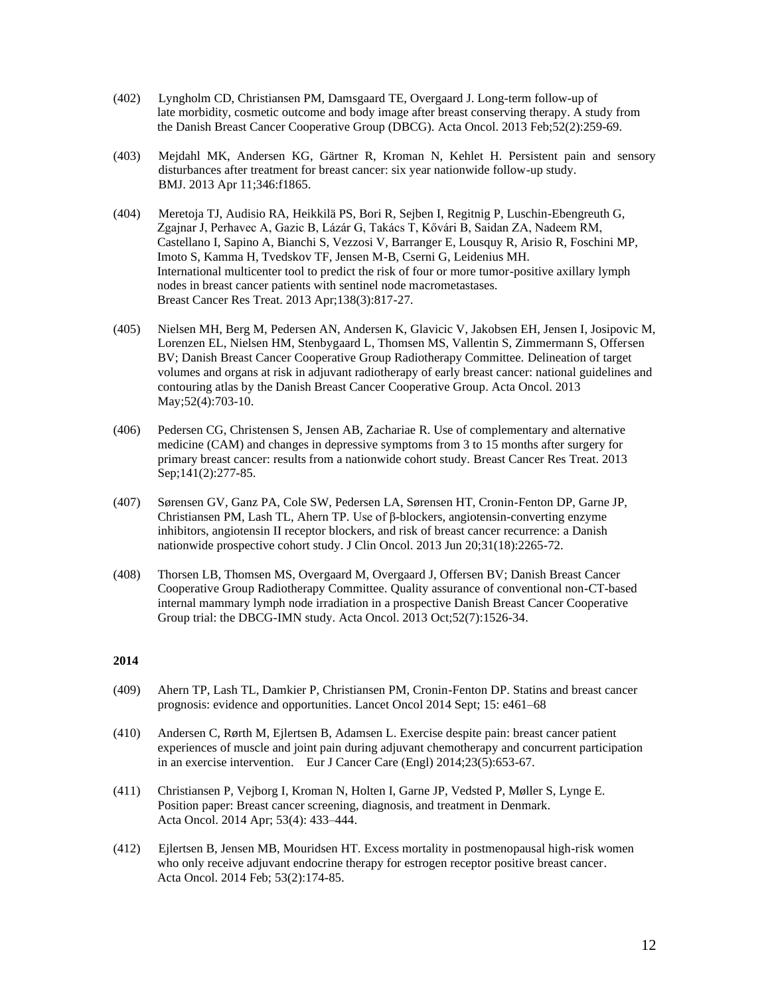- (402) Lyngholm CD, Christiansen PM, Damsgaard TE, Overgaard J. Long-term follow-up of late morbidity, cosmetic outcome and body image after breast conserving therapy. A study from the Danish Breast Cancer Cooperative Group (DBCG). Acta Oncol. 2013 Feb;52(2):259-69.
- (403) Mejdahl MK, Andersen KG, Gärtner R, Kroman N, Kehlet H. Persistent pain and sensory disturbances after treatment for breast cancer: six year nationwide follow-up study. BMJ. 2013 Apr 11;346:f1865.
- (404) Meretoja TJ, Audisio RA, Heikkilä PS, Bori R, Sejben I, Regitnig P, Luschin-Ebengreuth G, Zgajnar J, Perhavec A, Gazic B, Lázár G, Takács T, Kővári B, Saidan ZA, Nadeem RM, Castellano I, Sapino A, Bianchi S, Vezzosi V, Barranger E, Lousquy R, Arisio R, Foschini MP, Imoto S, Kamma H, Tvedskov TF, Jensen M-B, Cserni G, Leidenius MH. International multicenter tool to predict the risk of four or more tumor-positive axillary lymph nodes in breast cancer patients with sentinel node macrometastases. Breast Cancer Res Treat. 2013 Apr;138(3):817-27.
- (405) Nielsen MH, Berg M, Pedersen AN, Andersen K, Glavicic V, Jakobsen EH, Jensen I, Josipovic M, Lorenzen EL, Nielsen HM, Stenbygaard L, Thomsen MS, Vallentin S, Zimmermann S, Offersen BV; Danish Breast Cancer Cooperative Group Radiotherapy Committee. Delineation of target volumes and organs at risk in adjuvant radiotherapy of early breast cancer: national guidelines and contouring atlas by the Danish Breast Cancer Cooperative Group. Acta Oncol. 2013 May;52(4):703-10.
- (406) Pedersen CG, Christensen S, Jensen AB, Zachariae R. Use of complementary and alternative medicine (CAM) and changes in depressive symptoms from 3 to 15 months after surgery for primary breast cancer: results from a nationwide cohort study. Breast Cancer Res Treat. 2013 Sep; 141(2): 277-85.
- (407) Sørensen GV, Ganz PA, Cole SW, Pedersen LA, Sørensen HT, Cronin-Fenton DP, Garne JP, Christiansen PM, Lash TL, Ahern TP. Use of β-blockers, angiotensin-converting enzyme inhibitors, angiotensin II receptor blockers, and risk of breast cancer recurrence: a Danish nationwide prospective cohort study. J Clin Oncol. 2013 Jun 20;31(18):2265-72.
- (408) Thorsen LB, Thomsen MS, Overgaard M, Overgaard J, Offersen BV; Danish Breast Cancer Cooperative Group Radiotherapy Committee. Quality assurance of conventional non-CT-based internal mammary lymph node irradiation in a prospective Danish Breast Cancer Cooperative Group trial: the DBCG-IMN study. Acta Oncol. 2013 Oct;52(7):1526-34.

- (409) Ahern TP, Lash TL, Damkier P, Christiansen PM, Cronin-Fenton DP. Statins and breast cancer prognosis: evidence and opportunities. Lancet Oncol 2014 Sept; 15: e461–68
- (410) Andersen C, Rørth M, Ejlertsen B, Adamsen L. Exercise despite pain: breast cancer patient experiences of muscle and joint pain during adjuvant chemotherapy and concurrent participation in an exercise intervention. Eur J Cancer Care (Engl) 2014;23(5):653-67.
- (411) Christiansen P, Vejborg I, Kroman N, Holten I, Garne JP, Vedsted P, Møller S, Lynge E. Position paper: Breast cancer screening, diagnosis, and treatment in Denmark. Acta Oncol. 2014 Apr; 53(4): 433–444.
- (412) Ejlertsen B, Jensen MB, Mouridsen HT. Excess mortality in postmenopausal high-risk women who only receive adjuvant endocrine therapy for estrogen receptor positive breast cancer. Acta Oncol. 2014 Feb; 53(2):174-85.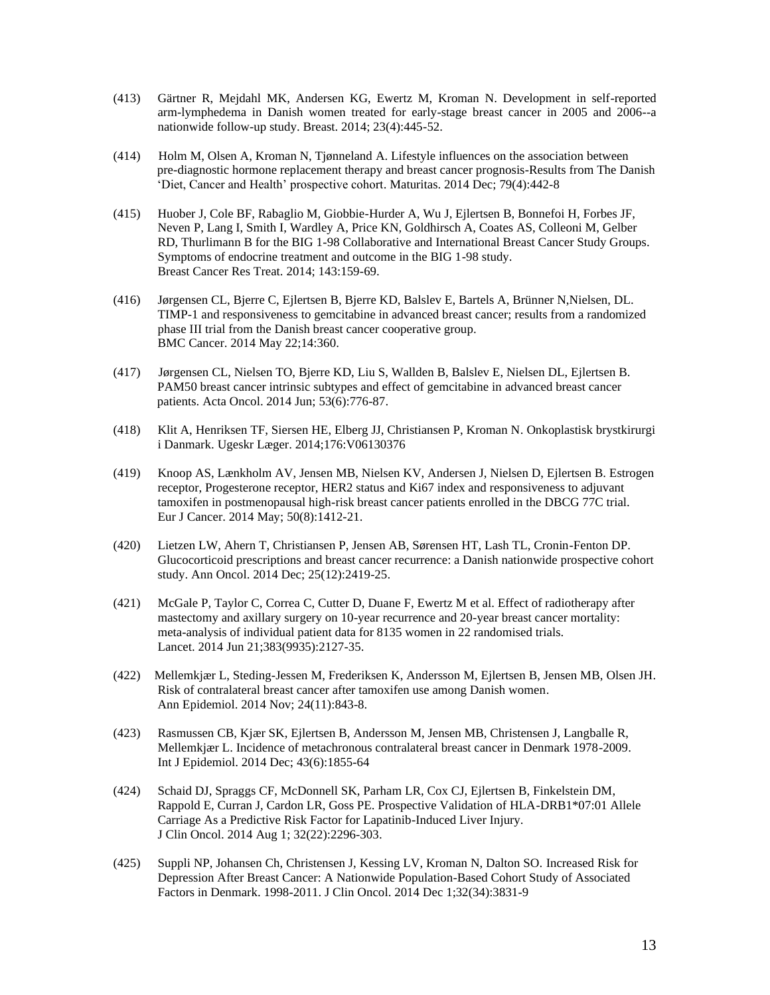- (413) Gärtner R, Mejdahl MK, Andersen KG, Ewertz M, Kroman N. Development in self-reported arm-lymphedema in Danish women treated for early-stage breast cancer in 2005 and 2006--a nationwide follow-up study. Breast. 2014; 23(4):445-52.
- (414) Holm M, Olsen A, Kroman N, Tjønneland A. Lifestyle influences on the association between pre-diagnostic hormone replacement therapy and breast cancer prognosis-Results from The Danish 'Diet, Cancer and Health' prospective cohort. Maturitas. 2014 Dec; 79(4):442-8
- (415) Huober J, Cole BF, Rabaglio M, Giobbie-Hurder A, Wu J, Ejlertsen B, Bonnefoi H, Forbes JF, Neven P, Lang I, Smith I, Wardley A, Price KN, Goldhirsch A, Coates AS, Colleoni M, Gelber RD, Thurlimann B for the BIG 1-98 Collaborative and International Breast Cancer Study Groups. Symptoms of endocrine treatment and outcome in the BIG 1-98 study. Breast Cancer Res Treat. 2014; 143:159-69.
- (416) Jørgensen CL, Bjerre C, Ejlertsen B, Bjerre KD, Balslev E, Bartels A, Brünner N,Nielsen, DL. TIMP-1 and responsiveness to gemcitabine in advanced breast cancer; results from a randomized phase III trial from the Danish breast cancer cooperative group. BMC Cancer. 2014 May 22;14:360.
- (417) Jørgensen CL, Nielsen TO, Bjerre KD, Liu S, Wallden B, Balslev E, Nielsen DL, Ejlertsen B. PAM50 breast cancer intrinsic subtypes and effect of gemcitabine in advanced breast cancer patients. Acta Oncol. 2014 Jun; 53(6):776-87.
- (418) Klit A, Henriksen TF, Siersen HE, Elberg JJ, Christiansen P, Kroman N. Onkoplastisk brystkirurgi i Danmark. Ugeskr Læger. 2014;176:V06130376
- (419) Knoop AS, Lænkholm AV, Jensen MB, Nielsen KV, Andersen J, Nielsen D, Ejlertsen B. Estrogen receptor, Progesterone receptor, HER2 status and Ki67 index and responsiveness to adjuvant tamoxifen in postmenopausal high-risk breast cancer patients enrolled in the DBCG 77C trial. Eur J Cancer. 2014 May; 50(8):1412-21.
- (420) Lietzen LW, Ahern T, Christiansen P, Jensen AB, Sørensen HT, Lash TL, Cronin-Fenton DP. Glucocorticoid prescriptions and breast cancer recurrence: a Danish nationwide prospective cohort study. Ann Oncol. 2014 Dec; 25(12):2419-25.
- (421) McGale P, Taylor C, Correa C, Cutter D, Duane F, Ewertz M et al. Effect of radiotherapy after mastectomy and axillary surgery on 10-year recurrence and 20-year breast cancer mortality: meta-analysis of individual patient data for 8135 women in 22 randomised trials. Lancet. 2014 Jun 21;383(9935):2127-35.
- (422) Mellemkjær L, Steding-Jessen M, Frederiksen K, Andersson M, Ejlertsen B, Jensen MB, Olsen JH. Risk of contralateral breast cancer after tamoxifen use among Danish women. Ann Epidemiol. 2014 Nov; 24(11):843-8.
- (423) Rasmussen CB, Kjær SK, Ejlertsen B, Andersson M, Jensen MB, Christensen J, Langballe R, Mellemkjær L. Incidence of metachronous contralateral breast cancer in Denmark 1978-2009. Int J Epidemiol. 2014 Dec; 43(6):1855-64
- (424) Schaid DJ, Spraggs CF, McDonnell SK, Parham LR, Cox CJ, Ejlertsen B, Finkelstein DM, Rappold E, Curran J, Cardon LR, Goss PE. Prospective Validation of HLA-DRB1\*07:01 Allele Carriage As a Predictive Risk Factor for Lapatinib-Induced Liver Injury. J Clin Oncol. 2014 Aug 1; 32(22):2296-303.
- (425) Suppli NP, Johansen Ch, Christensen J, Kessing LV, Kroman N, Dalton SO. Increased Risk for Depression After Breast Cancer: A Nationwide Population-Based Cohort Study of Associated Factors in Denmark. 1998-2011. J Clin Oncol. 2014 Dec 1;32(34):3831-9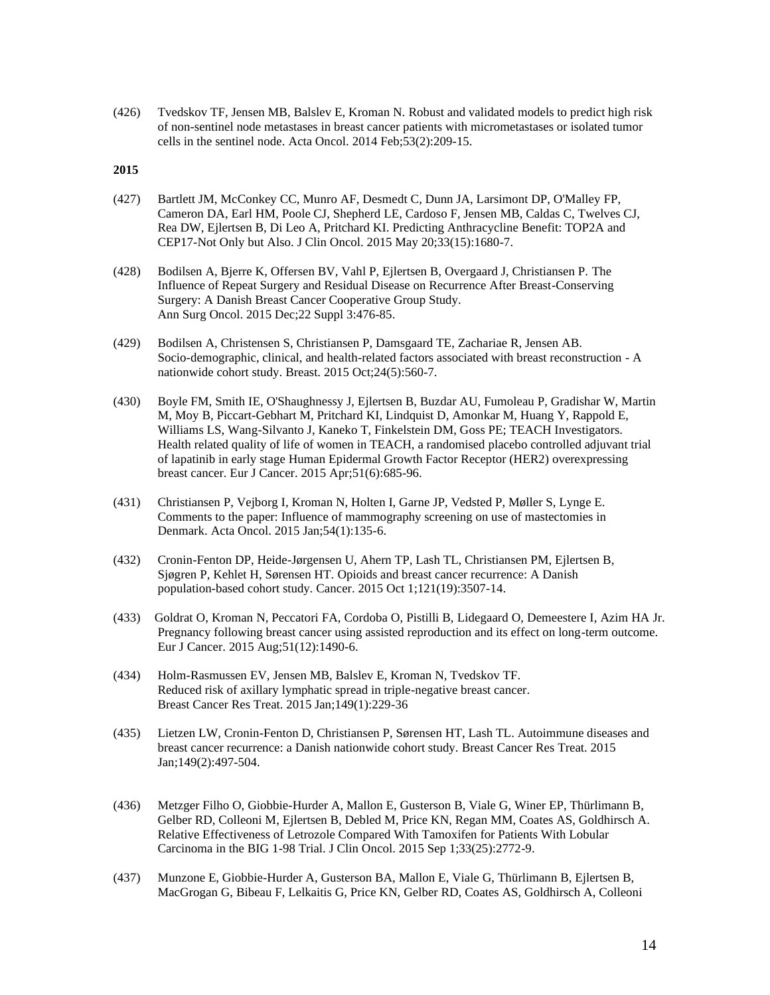(426) Tvedskov TF, Jensen MB, Balslev E, Kroman N. Robust and validated models to predict high risk of non-sentinel node metastases in breast cancer patients with micrometastases or isolated tumor cells in the sentinel node. Acta Oncol. 2014 Feb;53(2):209-15.

- (427) Bartlett JM, McConkey CC, Munro AF, Desmedt C, Dunn JA, Larsimont DP, O'Malley FP, Cameron DA, Earl HM, Poole CJ, Shepherd LE, Cardoso F, Jensen MB, Caldas C, Twelves CJ, Rea DW, Ejlertsen B, Di Leo A, Pritchard KI. Predicting Anthracycline Benefit: TOP2A and CEP17-Not Only but Also. J Clin Oncol. 2015 May 20;33(15):1680-7.
- (428) Bodilsen A, Bjerre K, Offersen BV, Vahl P, Ejlertsen B, Overgaard J, Christiansen P. The Influence of Repeat Surgery and Residual Disease on Recurrence After Breast-Conserving Surgery: A Danish Breast Cancer Cooperative Group Study. Ann Surg Oncol. 2015 Dec;22 Suppl 3:476-85.
- (429) Bodilsen A, Christensen S, Christiansen P, Damsgaard TE, Zachariae R, Jensen AB. Socio-demographic, clinical, and health-related factors associated with breast reconstruction - A nationwide cohort study. Breast. 2015 Oct;24(5):560-7.
- (430) Boyle FM, Smith IE, O'Shaughnessy J, Ejlertsen B, Buzdar AU, Fumoleau P, Gradishar W, Martin M, Moy B, Piccart-Gebhart M, Pritchard KI, Lindquist D, Amonkar M, Huang Y, Rappold E, Williams LS, Wang-Silvanto J, Kaneko T, Finkelstein DM, Goss PE; TEACH Investigators. Health related quality of life of women in TEACH, a randomised placebo controlled adjuvant trial of lapatinib in early stage Human Epidermal Growth Factor Receptor (HER2) overexpressing breast cancer. Eur J Cancer. 2015 Apr;51(6):685-96.
- (431) Christiansen P, Vejborg I, Kroman N, Holten I, Garne JP, Vedsted P, Møller S, Lynge E. Comments to the paper: Influence of mammography screening on use of mastectomies in Denmark. Acta Oncol. 2015 Jan;54(1):135-6.
- (432) Cronin-Fenton DP, Heide-Jørgensen U, Ahern TP, Lash TL, Christiansen PM, Ejlertsen B, Sjøgren P, Kehlet H, Sørensen HT. Opioids and breast cancer recurrence: A Danish population-based cohort study. Cancer. 2015 Oct 1;121(19):3507-14.
- (433) Goldrat O, Kroman N, Peccatori FA, Cordoba O, Pistilli B, Lidegaard O, Demeestere I, Azim HA Jr. Pregnancy following breast cancer using assisted reproduction and its effect on long-term outcome. Eur J Cancer. 2015 Aug;51(12):1490-6.
- (434) Holm-Rasmussen EV, Jensen MB, Balslev E, Kroman N, Tvedskov TF. Reduced risk of axillary lymphatic spread in triple-negative breast cancer. Breast Cancer Res Treat. 2015 Jan;149(1):229-36
- (435) Lietzen LW, Cronin-Fenton D, Christiansen P, Sørensen HT, Lash TL. Autoimmune diseases and breast cancer recurrence: a Danish nationwide cohort study. Breast Cancer Res Treat. 2015 Jan;149(2):497-504.
- (436) Metzger Filho O, Giobbie-Hurder A, Mallon E, Gusterson B, Viale G, Winer EP, Thürlimann B, Gelber RD, Colleoni M, Ejlertsen B, Debled M, Price KN, Regan MM, Coates AS, Goldhirsch A. Relative Effectiveness of Letrozole Compared With Tamoxifen for Patients With Lobular Carcinoma in the BIG 1-98 Trial. J Clin Oncol. 2015 Sep 1;33(25):2772-9.
- (437) Munzone E, Giobbie-Hurder A, Gusterson BA, Mallon E, Viale G, Thürlimann B, Ejlertsen B, MacGrogan G, Bibeau F, Lelkaitis G, Price KN, Gelber RD, Coates AS, Goldhirsch A, Colleoni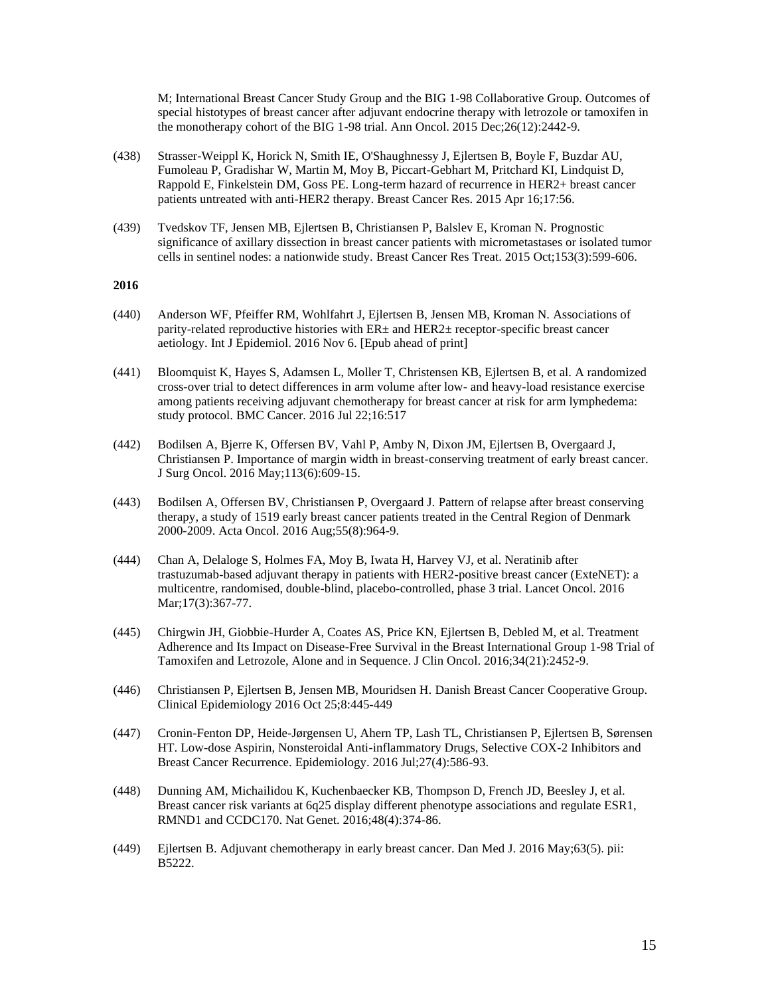M; International Breast Cancer Study Group and the BIG 1-98 Collaborative Group. Outcomes of special histotypes of breast cancer after adjuvant endocrine therapy with letrozole or tamoxifen in the monotherapy cohort of the BIG 1-98 trial. Ann Oncol. 2015 Dec;26(12):2442-9.

- (438) Strasser-Weippl K, Horick N, Smith IE, O'Shaughnessy J, Ejlertsen B, Boyle F, Buzdar AU, Fumoleau P, Gradishar W, Martin M, Moy B, Piccart-Gebhart M, Pritchard KI, Lindquist D, Rappold E, Finkelstein DM, Goss PE. Long-term hazard of recurrence in HER2+ breast cancer patients untreated with anti-HER2 therapy. Breast Cancer Res. 2015 Apr 16;17:56.
- (439) Tvedskov TF, Jensen MB, Ejlertsen B, Christiansen P, Balslev E, Kroman N. Prognostic significance of axillary dissection in breast cancer patients with micrometastases or isolated tumor cells in sentinel nodes: a nationwide study. Breast Cancer Res Treat. 2015 Oct;153(3):599-606.

- (440) Anderson WF, Pfeiffer RM, Wohlfahrt J, Ejlertsen B, Jensen MB, Kroman N. Associations of parity-related reproductive histories with  $ER<sub>±</sub>$  and  $HER2<sub>±</sub>$  receptor-specific breast cancer aetiology. Int J Epidemiol. 2016 Nov 6. [Epub ahead of print]
- (441) Bloomquist K, Hayes S, Adamsen L, Moller T, Christensen KB, Ejlertsen B, et al. A randomized cross-over trial to detect differences in arm volume after low- and heavy-load resistance exercise among patients receiving adjuvant chemotherapy for breast cancer at risk for arm lymphedema: study protocol. BMC Cancer. 2016 Jul 22;16:517
- (442) Bodilsen A, Bjerre K, Offersen BV, Vahl P, Amby N, Dixon JM, Ejlertsen B, Overgaard J, Christiansen P. Importance of margin width in breast-conserving treatment of early breast cancer. J Surg Oncol. 2016 May;113(6):609-15.
- (443) Bodilsen A, Offersen BV, Christiansen P, Overgaard J. Pattern of relapse after breast conserving therapy, a study of 1519 early breast cancer patients treated in the Central Region of Denmark 2000-2009. Acta Oncol. 2016 Aug;55(8):964-9.
- (444) Chan A, Delaloge S, Holmes FA, Moy B, Iwata H, Harvey VJ, et al. Neratinib after trastuzumab-based adjuvant therapy in patients with HER2-positive breast cancer (ExteNET): a multicentre, randomised, double-blind, placebo-controlled, phase 3 trial. Lancet Oncol. 2016 Mar;17(3):367-77.
- (445) Chirgwin JH, Giobbie-Hurder A, Coates AS, Price KN, Ejlertsen B, Debled M, et al. Treatment Adherence and Its Impact on Disease-Free Survival in the Breast International Group 1-98 Trial of Tamoxifen and Letrozole, Alone and in Sequence. J Clin Oncol. 2016;34(21):2452-9.
- (446) Christiansen P, Ejlertsen B, Jensen MB, Mouridsen H. Danish Breast Cancer Cooperative Group. Clinical Epidemiology 2016 Oct 25;8:445-449
- (447) Cronin-Fenton DP, Heide-Jørgensen U, Ahern TP, Lash TL, Christiansen P, Ejlertsen B, Sørensen HT. Low-dose Aspirin, Nonsteroidal Anti-inflammatory Drugs, Selective COX-2 Inhibitors and Breast Cancer Recurrence. Epidemiology. 2016 Jul;27(4):586-93.
- (448) Dunning AM, Michailidou K, Kuchenbaecker KB, Thompson D, French JD, Beesley J, et al. Breast cancer risk variants at 6q25 display different phenotype associations and regulate ESR1, RMND1 and CCDC170. Nat Genet. 2016;48(4):374-86.
- (449) Ejlertsen B. Adjuvant chemotherapy in early breast cancer. Dan Med J. 2016 May;63(5). pii: B5222.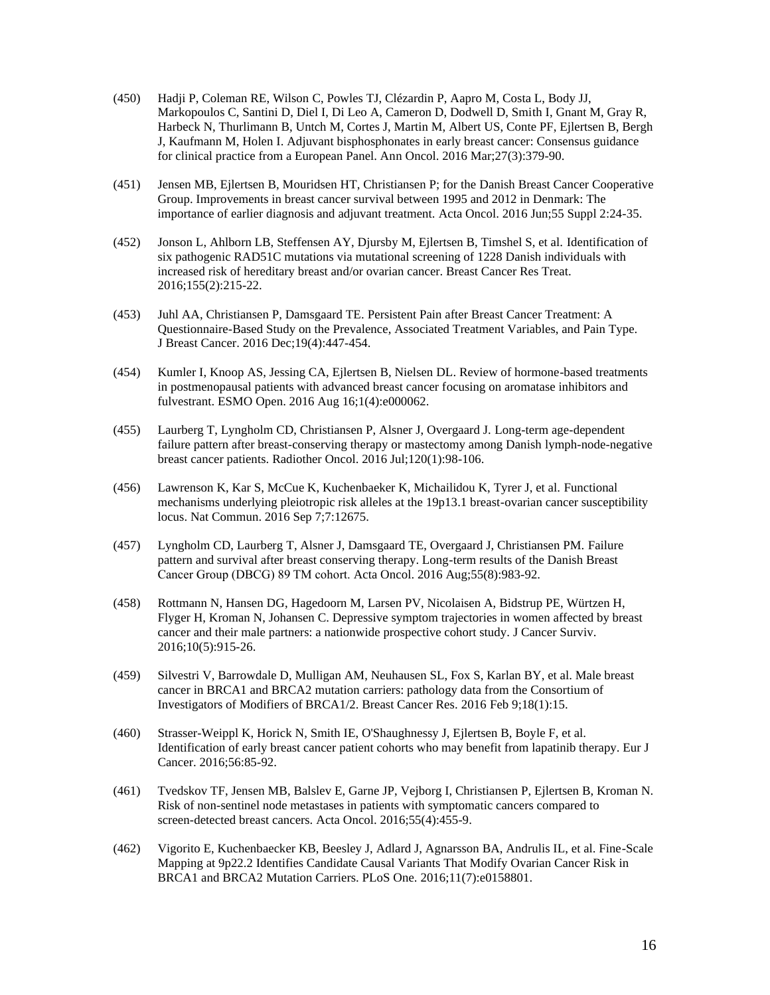- (450) Hadji P, Coleman RE, Wilson C, Powles TJ, Clézardin P, Aapro M, Costa L, Body JJ, Markopoulos C, Santini D, Diel I, Di Leo A, Cameron D, Dodwell D, Smith I, Gnant M, Gray R, Harbeck N, Thurlimann B, Untch M, Cortes J, Martin M, Albert US, Conte PF, Ejlertsen B, Bergh J, Kaufmann M, Holen I. Adjuvant bisphosphonates in early breast cancer: Consensus guidance for clinical practice from a European Panel. Ann Oncol. 2016 Mar;27(3):379-90.
- (451) Jensen MB, Ejlertsen B, Mouridsen HT, Christiansen P; for the Danish Breast Cancer Cooperative Group. Improvements in breast cancer survival between 1995 and 2012 in Denmark: The importance of earlier diagnosis and adjuvant treatment. Acta Oncol. 2016 Jun;55 Suppl 2:24-35.
- (452) Jonson L, Ahlborn LB, Steffensen AY, Djursby M, Ejlertsen B, Timshel S, et al. Identification of six pathogenic RAD51C mutations via mutational screening of 1228 Danish individuals with increased risk of hereditary breast and/or ovarian cancer. Breast Cancer Res Treat. 2016;155(2):215-22.
- (453) Juhl AA, Christiansen P, Damsgaard TE. Persistent Pain after Breast Cancer Treatment: A Questionnaire-Based Study on the Prevalence, Associated Treatment Variables, and Pain Type. J Breast Cancer. 2016 Dec;19(4):447-454.
- (454) Kumler I, Knoop AS, Jessing CA, Ejlertsen B, Nielsen DL. Review of hormone-based treatments in postmenopausal patients with advanced breast cancer focusing on aromatase inhibitors and fulvestrant. ESMO Open. 2016 Aug 16;1(4):e000062.
- (455) Laurberg T, Lyngholm CD, Christiansen P, Alsner J, Overgaard J. Long-term age-dependent failure pattern after breast-conserving therapy or mastectomy among Danish lymph-node-negative breast cancer patients. Radiother Oncol. 2016 Jul;120(1):98-106.
- (456) Lawrenson K, Kar S, McCue K, Kuchenbaeker K, Michailidou K, Tyrer J, et al. Functional mechanisms underlying pleiotropic risk alleles at the 19p13.1 breast-ovarian cancer susceptibility locus. Nat Commun. 2016 Sep 7;7:12675.
- (457) Lyngholm CD, Laurberg T, Alsner J, Damsgaard TE, Overgaard J, Christiansen PM. Failure pattern and survival after breast conserving therapy. Long-term results of the Danish Breast Cancer Group (DBCG) 89 TM cohort. Acta Oncol. 2016 Aug;55(8):983-92.
- (458) Rottmann N, Hansen DG, Hagedoorn M, Larsen PV, Nicolaisen A, Bidstrup PE, Würtzen H, Flyger H, Kroman N, Johansen C. Depressive symptom trajectories in women affected by breast cancer and their male partners: a nationwide prospective cohort study. J Cancer Surviv. 2016;10(5):915-26.
- (459) Silvestri V, Barrowdale D, Mulligan AM, Neuhausen SL, Fox S, Karlan BY, et al. Male breast cancer in BRCA1 and BRCA2 mutation carriers: pathology data from the Consortium of Investigators of Modifiers of BRCA1/2. Breast Cancer Res. 2016 Feb 9;18(1):15.
- (460) Strasser-Weippl K, Horick N, Smith IE, O'Shaughnessy J, Ejlertsen B, Boyle F, et al. Identification of early breast cancer patient cohorts who may benefit from lapatinib therapy. Eur J Cancer. 2016;56:85-92.
- (461) Tvedskov TF, Jensen MB, Balslev E, Garne JP, Vejborg I, Christiansen P, Ejlertsen B, Kroman N. Risk of non-sentinel node metastases in patients with symptomatic cancers compared to screen-detected breast cancers. Acta Oncol. 2016;55(4):455-9.
- (462) Vigorito E, Kuchenbaecker KB, Beesley J, Adlard J, Agnarsson BA, Andrulis IL, et al. Fine-Scale Mapping at 9p22.2 Identifies Candidate Causal Variants That Modify Ovarian Cancer Risk in BRCA1 and BRCA2 Mutation Carriers. PLoS One. 2016;11(7):e0158801.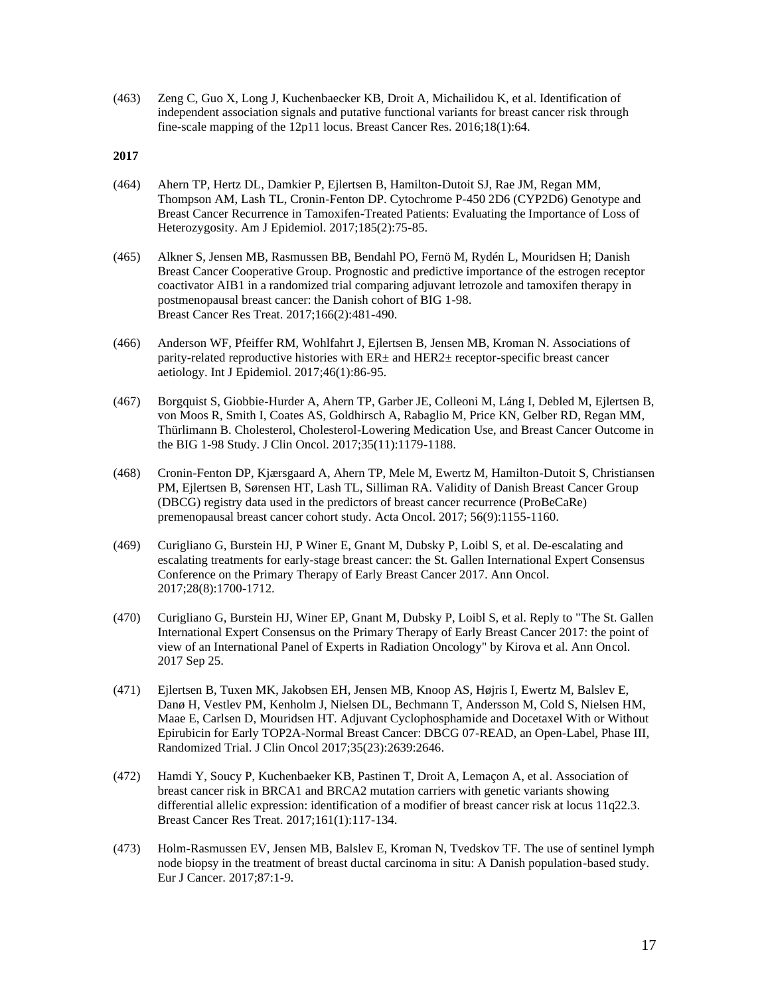(463) Zeng C, Guo X, Long J, Kuchenbaecker KB, Droit A, Michailidou K, et al. Identification of independent association signals and putative functional variants for breast cancer risk through fine-scale mapping of the 12p11 locus. Breast Cancer Res. 2016;18(1):64.

- (464) Ahern TP, Hertz DL, Damkier P, Ejlertsen B, Hamilton-Dutoit SJ, Rae JM, Regan MM, Thompson AM, Lash TL, Cronin-Fenton DP. Cytochrome P-450 2D6 (CYP2D6) Genotype and Breast Cancer Recurrence in Tamoxifen-Treated Patients: Evaluating the Importance of Loss of Heterozygosity. Am J Epidemiol. 2017;185(2):75-85.
- (465) Alkner S, Jensen MB, Rasmussen BB, Bendahl PO, Fernö M, Rydén L, Mouridsen H; Danish Breast Cancer Cooperative Group. Prognostic and predictive importance of the estrogen receptor coactivator AIB1 in a randomized trial comparing adjuvant letrozole and tamoxifen therapy in postmenopausal breast cancer: the Danish cohort of BIG 1-98. Breast Cancer Res Treat. 2017;166(2):481-490.
- (466) Anderson WF, Pfeiffer RM, Wohlfahrt J, Ejlertsen B, Jensen MB, Kroman N. Associations of parity-related reproductive histories with ER± and HER2± receptor-specific breast cancer aetiology. Int J Epidemiol. 2017;46(1):86-95.
- (467) Borgquist S, Giobbie-Hurder A, Ahern TP, Garber JE, Colleoni M, Láng I, Debled M, Ejlertsen B, von Moos R, Smith I, Coates AS, Goldhirsch A, Rabaglio M, Price KN, Gelber RD, Regan MM, Thürlimann B. Cholesterol, Cholesterol-Lowering Medication Use, and Breast Cancer Outcome in the BIG 1-98 Study. J Clin Oncol. 2017;35(11):1179-1188.
- (468) Cronin-Fenton DP, Kjærsgaard A, Ahern TP, Mele M, Ewertz M, Hamilton-Dutoit S, Christiansen PM, Ejlertsen B, Sørensen HT, Lash TL, Silliman RA. Validity of Danish Breast Cancer Group (DBCG) registry data used in the predictors of breast cancer recurrence (ProBeCaRe) premenopausal breast cancer cohort study. Acta Oncol. 2017; 56(9):1155-1160.
- (469) Curigliano G, Burstein HJ, P Winer E, Gnant M, Dubsky P, Loibl S, et al. De-escalating and escalating treatments for early-stage breast cancer: the St. Gallen International Expert Consensus Conference on the Primary Therapy of Early Breast Cancer 2017. Ann Oncol. 2017;28(8):1700-1712.
- (470) Curigliano G, Burstein HJ, Winer EP, Gnant M, Dubsky P, Loibl S, et al. Reply to "The St. Gallen International Expert Consensus on the Primary Therapy of Early Breast Cancer 2017: the point of view of an International Panel of Experts in Radiation Oncology" by Kirova et al. Ann Oncol. 2017 Sep 25.
- (471) Ejlertsen B, Tuxen MK, Jakobsen EH, Jensen MB, Knoop AS, Højris I, Ewertz M, Balslev E, Danø H, Vestlev PM, Kenholm J, Nielsen DL, Bechmann T, Andersson M, Cold S, Nielsen HM, Maae E, Carlsen D, Mouridsen HT. Adjuvant Cyclophosphamide and Docetaxel With or Without Epirubicin for Early TOP2A-Normal Breast Cancer: DBCG 07-READ, an Open-Label, Phase III, Randomized Trial. J Clin Oncol 2017;35(23):2639:2646.
- (472) Hamdi Y, Soucy P, Kuchenbaeker KB, Pastinen T, Droit A, Lemaçon A, et al. Association of breast cancer risk in BRCA1 and BRCA2 mutation carriers with genetic variants showing differential allelic expression: identification of a modifier of breast cancer risk at locus 11q22.3. Breast Cancer Res Treat. 2017;161(1):117-134.
- (473) Holm-Rasmussen EV, Jensen MB, Balslev E, Kroman N, Tvedskov TF. The use of sentinel lymph node biopsy in the treatment of breast ductal carcinoma in situ: A Danish population-based study. Eur J Cancer. 2017;87:1-9.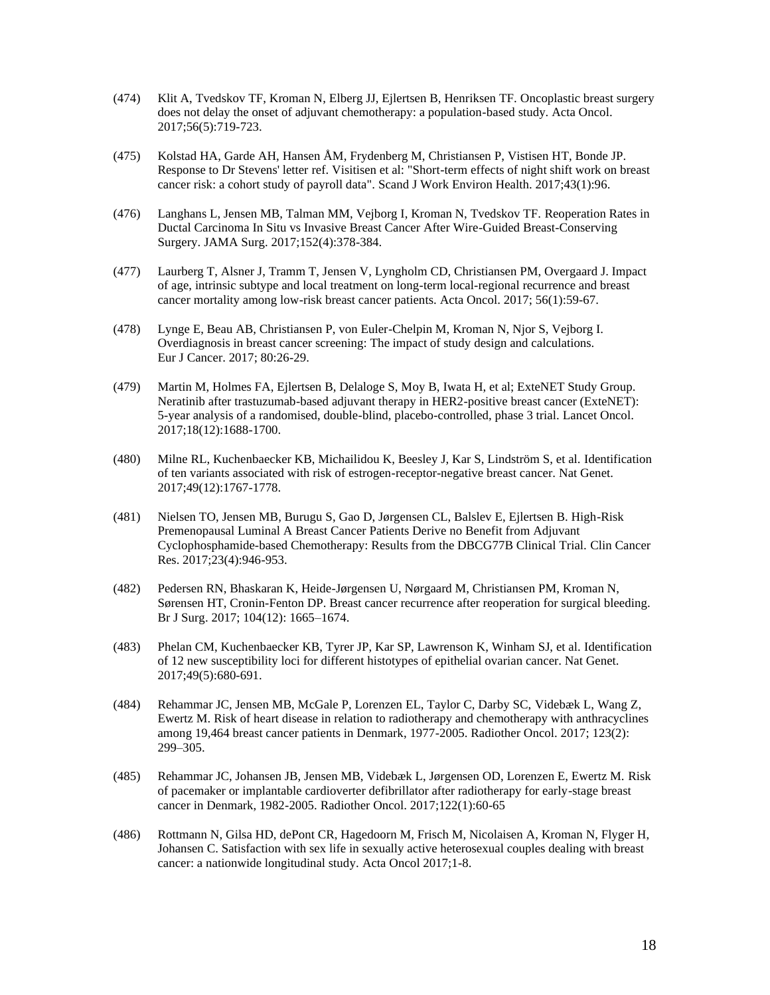- (474) Klit A, Tvedskov TF, Kroman N, Elberg JJ, Ejlertsen B, Henriksen TF. Oncoplastic breast surgery does not delay the onset of adjuvant chemotherapy: a population-based study. Acta Oncol. 2017;56(5):719-723.
- (475) Kolstad HA, Garde AH, Hansen ÅM, Frydenberg M, Christiansen P, Vistisen HT, Bonde JP. Response to Dr Stevens' letter ref. Visitisen et al: "Short-term effects of night shift work on breast cancer risk: a cohort study of payroll data". Scand J Work Environ Health. 2017;43(1):96.
- (476) Langhans L, Jensen MB, Talman MM, Vejborg I, Kroman N, Tvedskov TF. Reoperation Rates in Ductal Carcinoma In Situ vs Invasive Breast Cancer After Wire-Guided Breast-Conserving Surgery. JAMA Surg. 2017;152(4):378-384.
- (477) Laurberg T, Alsner J, Tramm T, Jensen V, Lyngholm CD, Christiansen PM, Overgaard J. Impact of age, intrinsic subtype and local treatment on long-term local-regional recurrence and breast cancer mortality among low-risk breast cancer patients. Acta Oncol. 2017; 56(1):59-67.
- (478) Lynge E, Beau AB, Christiansen P, von Euler-Chelpin M, Kroman N, Njor S, Vejborg I. Overdiagnosis in breast cancer screening: The impact of study design and calculations. Eur J Cancer. 2017; 80:26-29.
- (479) Martin M, Holmes FA, Ejlertsen B, Delaloge S, Moy B, Iwata H, et al; ExteNET Study Group. Neratinib after trastuzumab-based adjuvant therapy in HER2-positive breast cancer (ExteNET): 5-year analysis of a randomised, double-blind, placebo-controlled, phase 3 trial. Lancet Oncol. 2017;18(12):1688-1700.
- (480) Milne RL, Kuchenbaecker KB, Michailidou K, Beesley J, Kar S, Lindström S, et al. Identification of ten variants associated with risk of estrogen-receptor-negative breast cancer. Nat Genet. 2017;49(12):1767-1778.
- (481) Nielsen TO, Jensen MB, Burugu S, Gao D, Jørgensen CL, Balslev E, Ejlertsen B. High-Risk Premenopausal Luminal A Breast Cancer Patients Derive no Benefit from Adjuvant Cyclophosphamide-based Chemotherapy: Results from the DBCG77B Clinical Trial. Clin Cancer Res. 2017;23(4):946-953.
- (482) Pedersen RN, Bhaskaran K, Heide-Jørgensen U, Nørgaard M, Christiansen PM, Kroman N, Sørensen HT, Cronin-Fenton DP. Breast cancer recurrence after reoperation for surgical bleeding. Br J Surg. 2017; 104(12): 1665–1674.
- (483) Phelan CM, Kuchenbaecker KB, Tyrer JP, Kar SP, Lawrenson K, Winham SJ, et al. Identification of 12 new susceptibility loci for different histotypes of epithelial ovarian cancer. Nat Genet. 2017;49(5):680-691.
- (484) Rehammar JC, Jensen MB, McGale P, Lorenzen EL, Taylor C, Darby SC, Videbæk L, Wang Z, Ewertz M. Risk of heart disease in relation to radiotherapy and chemotherapy with anthracyclines among 19,464 breast cancer patients in Denmark, 1977-2005. Radiother Oncol. 2017; 123(2): 299–305.
- (485) Rehammar JC, Johansen JB, Jensen MB, Videbæk L, Jørgensen OD, Lorenzen E, Ewertz M. Risk of pacemaker or implantable cardioverter defibrillator after radiotherapy for early-stage breast cancer in Denmark, 1982-2005. Radiother Oncol. 2017;122(1):60-65
- (486) Rottmann N, Gilsa HD, dePont CR, Hagedoorn M, Frisch M, Nicolaisen A, Kroman N, Flyger H, Johansen C. Satisfaction with sex life in sexually active heterosexual couples dealing with breast cancer: a nationwide longitudinal study. Acta Oncol 2017;1-8.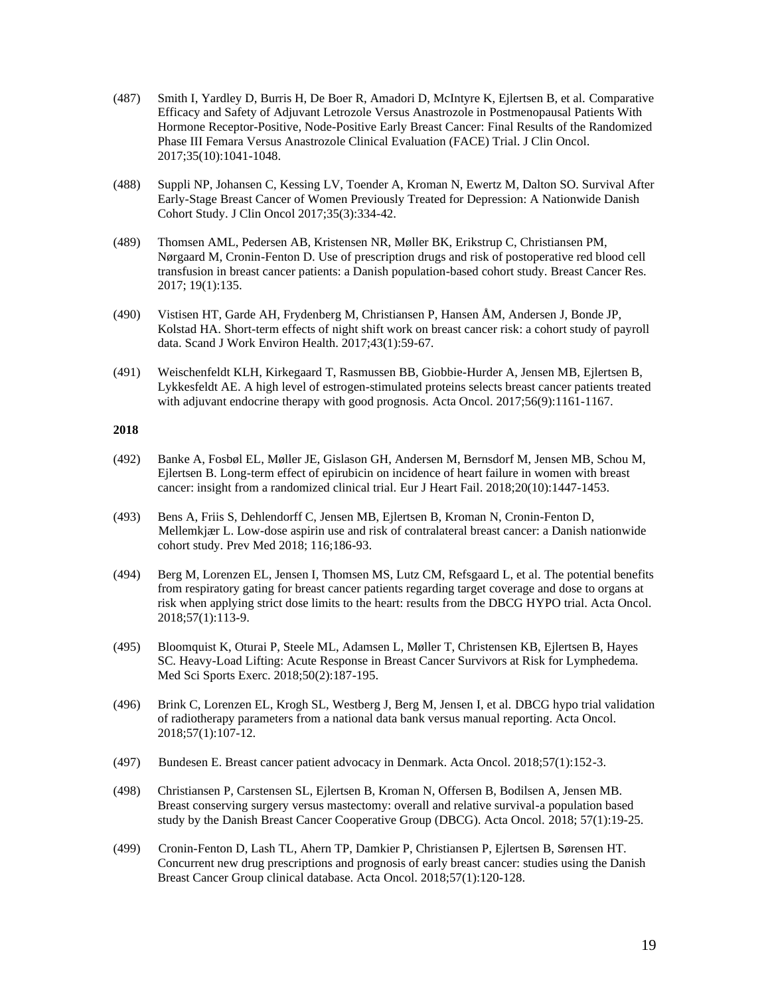- (487) Smith I, Yardley D, Burris H, De Boer R, Amadori D, McIntyre K, Ejlertsen B, et al. Comparative Efficacy and Safety of Adjuvant Letrozole Versus Anastrozole in Postmenopausal Patients With Hormone Receptor-Positive, Node-Positive Early Breast Cancer: Final Results of the Randomized Phase III Femara Versus Anastrozole Clinical Evaluation (FACE) Trial. J Clin Oncol. 2017;35(10):1041-1048.
- (488) Suppli NP, Johansen C, Kessing LV, Toender A, Kroman N, Ewertz M, Dalton SO. Survival After Early-Stage Breast Cancer of Women Previously Treated for Depression: A Nationwide Danish Cohort Study. J Clin Oncol 2017;35(3):334-42.
- (489) Thomsen AML, Pedersen AB, Kristensen NR, Møller BK, Erikstrup C, Christiansen PM, Nørgaard M, Cronin-Fenton D. Use of prescription drugs and risk of postoperative red blood cell transfusion in breast cancer patients: a Danish population-based cohort study. Breast Cancer Res. 2017; 19(1):135.
- (490) Vistisen HT, Garde AH, Frydenberg M, Christiansen P, Hansen ÅM, Andersen J, Bonde JP, Kolstad HA. Short-term effects of night shift work on breast cancer risk: a cohort study of payroll data. Scand J Work Environ Health. 2017;43(1):59-67.
- (491) Weischenfeldt KLH, Kirkegaard T, Rasmussen BB, Giobbie-Hurder A, Jensen MB, Ejlertsen B, Lykkesfeldt AE. A high level of estrogen-stimulated proteins selects breast cancer patients treated with adjuvant endocrine therapy with good prognosis. Acta Oncol. 2017;56(9):1161-1167.

- (492) Banke A, Fosbøl EL, Møller JE, Gislason GH, Andersen M, Bernsdorf M, Jensen MB, Schou M, Ejlertsen B. Long-term effect of epirubicin on incidence of heart failure in women with breast cancer: insight from a randomized clinical trial. Eur J Heart Fail. 2018;20(10):1447-1453.
- (493) [Bens](https://www.sciencedirect.com/science/article/pii/S0091743518302937#!) A, [Friis S, Dehlendorff C, Jensen MB, Ejlertsen B, Kroman N, Cronin-Fenton](https://www.sciencedirect.com/science/article/pii/S0091743518302937#!) D, [Mellemkjær L.](https://www.sciencedirect.com/science/article/pii/S0091743518302937#!) Low-dose aspirin use and risk of contralateral breast cancer: a Danish nationwide cohort study. Prev Med 2018; 116;186-93.
- (494) Berg M, Lorenzen EL, Jensen I, Thomsen MS, Lutz CM, Refsgaard L, et al. The potential benefits from respiratory gating for breast cancer patients regarding target coverage and dose to organs at risk when applying strict dose limits to the heart: results from the DBCG HYPO trial. Acta Oncol. 2018;57(1):113-9.
- (495) Bloomquist K, Oturai P, Steele ML, Adamsen L, Møller T, Christensen KB, Ejlertsen B, Hayes SC. Heavy-Load Lifting: Acute Response in Breast Cancer Survivors at Risk for Lymphedema. Med Sci Sports Exerc. 2018;50(2):187-195.
- (496) Brink C, Lorenzen EL, Krogh SL, Westberg J, Berg M, Jensen I, et al. DBCG hypo trial validation of radiotherapy parameters from a national data bank versus manual reporting. Acta Oncol. 2018;57(1):107-12.
- (497) Bundesen E. Breast cancer patient advocacy in Denmark. Acta Oncol. 2018;57(1):152-3.
- (498) Christiansen P, Carstensen SL, Ejlertsen B, Kroman N, Offersen B, Bodilsen A, Jensen MB. Breast conserving surgery versus mastectomy: overall and relative survival-a population based study by the Danish Breast Cancer Cooperative Group (DBCG). Acta Oncol. 2018; 57(1):19-25.
- (499) Cronin-Fenton D, Lash TL, Ahern TP, Damkier P, Christiansen P, Ejlertsen B, Sørensen HT. Concurrent new drug prescriptions and prognosis of early breast cancer: studies using the Danish Breast Cancer Group clinical database. Acta Oncol. 2018;57(1):120-128.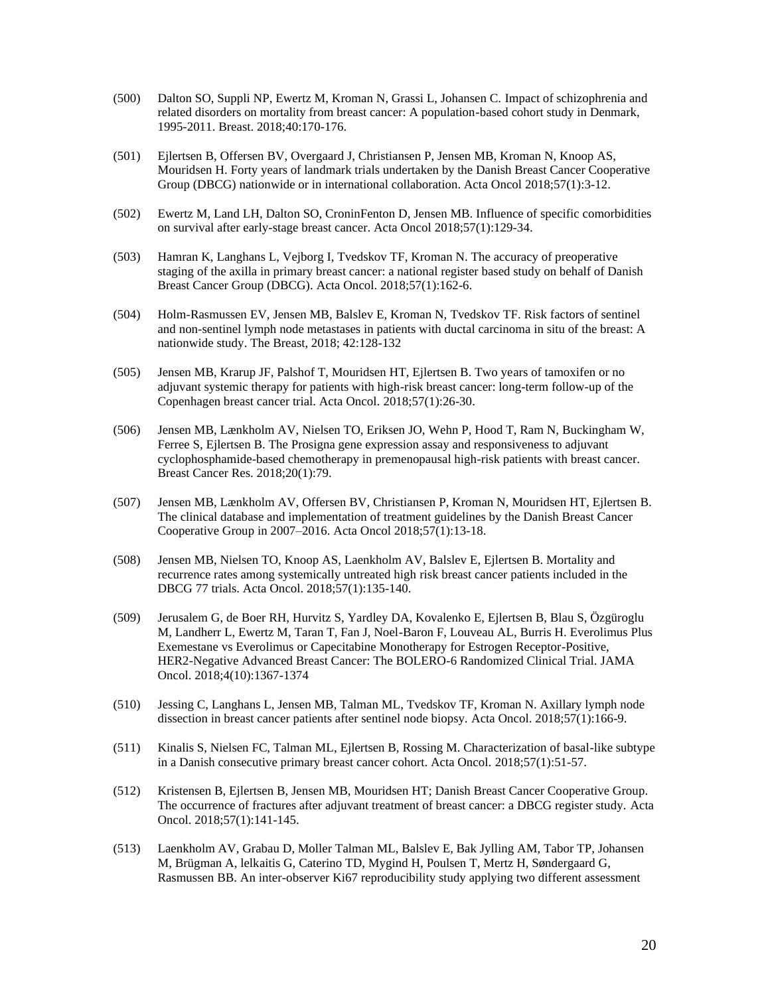- (500) Dalton SO, Suppli NP, Ewertz M, Kroman N, Grassi L, Johansen C. Impact of schizophrenia and related disorders on mortality from breast cancer: A population-based cohort study in Denmark, 1995-2011. Breast. 2018;40:170-176.
- (501) Ejlertsen B, Offersen BV, Overgaard J, Christiansen P, Jensen MB, Kroman N, Knoop AS, Mouridsen H. Forty years of landmark trials undertaken by the Danish Breast Cancer Cooperative Group (DBCG) nationwide or in international collaboration. Acta Oncol 2018;57(1):3-12.
- (502) Ewertz M, Land LH, Dalton SO, CroninFenton D, Jensen MB. Influence of specific comorbidities on survival after early-stage breast cancer. Acta Oncol 2018;57(1):129-34.
- (503) Hamran K, Langhans L, Vejborg I, Tvedskov TF, Kroman N. The accuracy of preoperative staging of the axilla in primary breast cancer: a national register based study on behalf of Danish Breast Cancer Group (DBCG). Acta Oncol. 2018;57(1):162-6.
- (504) Holm-Rasmussen EV, Jensen MB, Balslev E, Kroman N, Tvedskov TF. Risk factors of sentinel and non-sentinel lymph node metastases in patients with ductal carcinoma in situ of the breast: A nationwide study. The Breast, 2018; 42:128-132
- (505) Jensen MB, Krarup JF, Palshof T, Mouridsen HT, Ejlertsen B. Two years of tamoxifen or no adjuvant systemic therapy for patients with high-risk breast cancer: long-term follow-up of the Copenhagen breast cancer trial. Acta Oncol. 2018;57(1):26-30.
- (506) Jensen MB, Lænkholm AV, Nielsen TO, Eriksen JO, Wehn P, Hood T, Ram N, Buckingham W, Ferree S, Ejlertsen B. The Prosigna gene expression assay and responsiveness to adjuvant cyclophosphamide-based chemotherapy in premenopausal high-risk patients with breast cancer. Breast Cancer Res. 2018;20(1):79.
- (507) Jensen MB, Lænkholm AV, Offersen BV, Christiansen P, Kroman N, Mouridsen HT, Ejlertsen B. The clinical database and implementation of treatment guidelines by the Danish Breast Cancer Cooperative Group in 2007–2016. Acta Oncol 2018;57(1):13-18.
- (508) Jensen MB, Nielsen TO, Knoop AS, Laenkholm AV, Balslev E, Ejlertsen B. Mortality and recurrence rates among systemically untreated high risk breast cancer patients included in the DBCG 77 trials. Acta Oncol. 2018;57(1):135-140.
- (509) Jerusalem G, de Boer RH, Hurvitz S, Yardley DA, Kovalenko E, Ejlertsen B, Blau S, Özgüroglu M, Landherr L, Ewertz M, Taran T, Fan J, Noel-Baron F, Louveau AL, Burris H. Everolimus Plus Exemestane vs Everolimus or Capecitabine Monotherapy for Estrogen Receptor-Positive, HER2-Negative Advanced Breast Cancer: The BOLERO-6 Randomized Clinical Trial[. JAMA](https://www.ncbi.nlm.nih.gov/pubmed/29862411)  [Oncol.](https://www.ncbi.nlm.nih.gov/pubmed/29862411) 2018;4(10):1367-1374
- (510) Jessing C, Langhans L, Jensen MB, Talman ML, Tvedskov TF, Kroman N. Axillary lymph node dissection in breast cancer patients after sentinel node biopsy. Acta Oncol. 2018;57(1):166-9.
- (511) Kinalis S, Nielsen FC, Talman ML, Ejlertsen B, Rossing M. Characterization of basal-like subtype in a Danish consecutive primary breast cancer cohort. Acta Oncol. 2018;57(1):51-57.
- (512) Kristensen B, Ejlertsen B, Jensen MB, Mouridsen HT; Danish Breast Cancer Cooperative Group. The occurrence of fractures after adjuvant treatment of breast cancer: a DBCG register study. Acta Oncol. 2018;57(1):141-145.
- (513) Laenkholm AV, Grabau D, Moller Talman ML, Balslev E, Bak Jylling AM, Tabor TP, Johansen M, Brügman A, lelkaitis G, Caterino TD, Mygind H, Poulsen T, Mertz H, Søndergaard G, Rasmussen BB. An inter-observer Ki67 reproducibility study applying two different assessment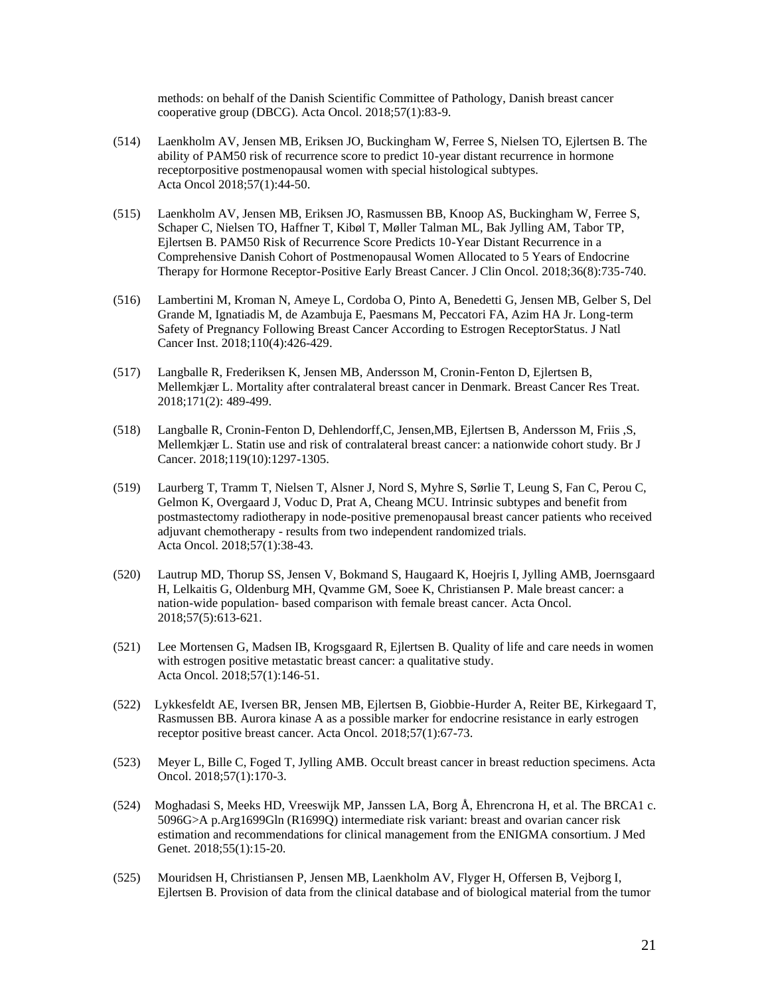methods: on behalf of the Danish Scientific Committee of Pathology, Danish breast cancer cooperative group (DBCG). Acta Oncol. 2018;57(1):83-9.

- (514) Laenkholm AV, Jensen MB, Eriksen JO, Buckingham W, Ferree S, Nielsen TO, Ejlertsen B. The ability of PAM50 risk of recurrence score to predict 10-year distant recurrence in hormone receptorpositive postmenopausal women with special histological subtypes. Acta Oncol 2018;57(1):44-50.
- (515) Laenkholm AV, Jensen MB, Eriksen JO, Rasmussen BB, Knoop AS, Buckingham W, Ferree S, Schaper C, Nielsen TO, Haffner T, Kibøl T, Møller Talman ML, Bak Jylling AM, Tabor TP, Ejlertsen B. PAM50 Risk of Recurrence Score Predicts 10-Year Distant Recurrence in a Comprehensive Danish Cohort of Postmenopausal Women Allocated to 5 Years of Endocrine Therapy for Hormone Receptor-Positive Early Breast Cancer. J Clin Oncol. 2018;36(8):735-740.
- (516) Lambertini M, Kroman N, Ameye L, Cordoba O, Pinto A, Benedetti G, Jensen MB, Gelber S, Del Grande M, Ignatiadis M, de Azambuja E, Paesmans M, Peccatori FA, Azim HA Jr. Long-term Safety of Pregnancy Following Breast Cancer According to Estrogen ReceptorStatus. [J Natl](https://www.ncbi.nlm.nih.gov/pubmed/29087485)  [Cancer Inst.](https://www.ncbi.nlm.nih.gov/pubmed/29087485) 2018;110(4):426-429.
- (517) Langballe R, Frederiksen K, Jensen MB, Andersson M, Cronin-Fenton D, Ejlertsen B, Mellemkjær L. Mortality after contralateral breast cancer in Denmark. Breast Cancer Res Treat. 2018;171(2): 489-499.
- (518) Langballe R, Cronin-Fenton D, Dehlendorff,C, Jensen,MB, Ejlertsen B, Andersson M, Friis ,S, Mellemkjær L. Statin use and risk of contralateral breast cancer: a nationwide cohort study. Br J Cancer. 2018;119(10):1297-1305.
- (519) Laurberg T, Tramm T, Nielsen T, Alsner J, Nord S, Myhre S, Sørlie T, Leung S, Fan C, Perou C, Gelmon K, Overgaard J, Voduc D, Prat A, Cheang MCU. Intrinsic subtypes and benefit from postmastectomy radiotherapy in node-positive premenopausal breast cancer patients who received adjuvant chemotherapy - results from two independent randomized trials. Acta Oncol. 2018;57(1):38-43.
- (520) Lautrup MD, Thorup SS, Jensen V, Bokmand S, Haugaard K, Hoejris I, Jylling AMB, Joernsgaard H, Lelkaitis G, Oldenburg MH, Qvamme GM, Soee K, Christiansen P. Male breast cancer: a nation-wide population- based comparison with female breast cancer. Acta [Oncol.](https://www.ncbi.nlm.nih.gov/pubmed/?term=Lautrup+Acta+2018+male) 2018;57(5):613-621.
- (521) Lee Mortensen G, Madsen IB, Krogsgaard R, Ejlertsen B. Quality of life and care needs in women with estrogen positive metastatic breast cancer: a qualitative study. Acta Oncol. 2018;57(1):146-51.
- (522) Lykkesfeldt AE, Iversen BR, Jensen MB, Ejlertsen B, Giobbie-Hurder A, Reiter BE, Kirkegaard T, Rasmussen BB. Aurora kinase A as a possible marker for endocrine resistance in early estrogen receptor positive breast cancer. Acta Oncol. 2018;57(1):67-73.
- (523) Meyer L, Bille C, Foged T, Jylling AMB. Occult breast cancer in breast reduction specimens. Acta Oncol. 2018;57(1):170-3.
- (524) Moghadasi S, Meeks HD, Vreeswijk MP, Janssen LA, Borg Å, Ehrencrona H, et al. The BRCA1 c. 5096G>A p.Arg1699Gln (R1699Q) intermediate risk variant: breast and ovarian cancer risk estimation and recommendations for clinical management from the ENIGMA consortium. J Med Genet. 2018;55(1):15-20.
- (525) Mouridsen H, Christiansen P, Jensen MB, Laenkholm AV, Flyger H, Offersen B, Vejborg I, Ejlertsen B. Provision of data from the clinical database and of biological material from the tumor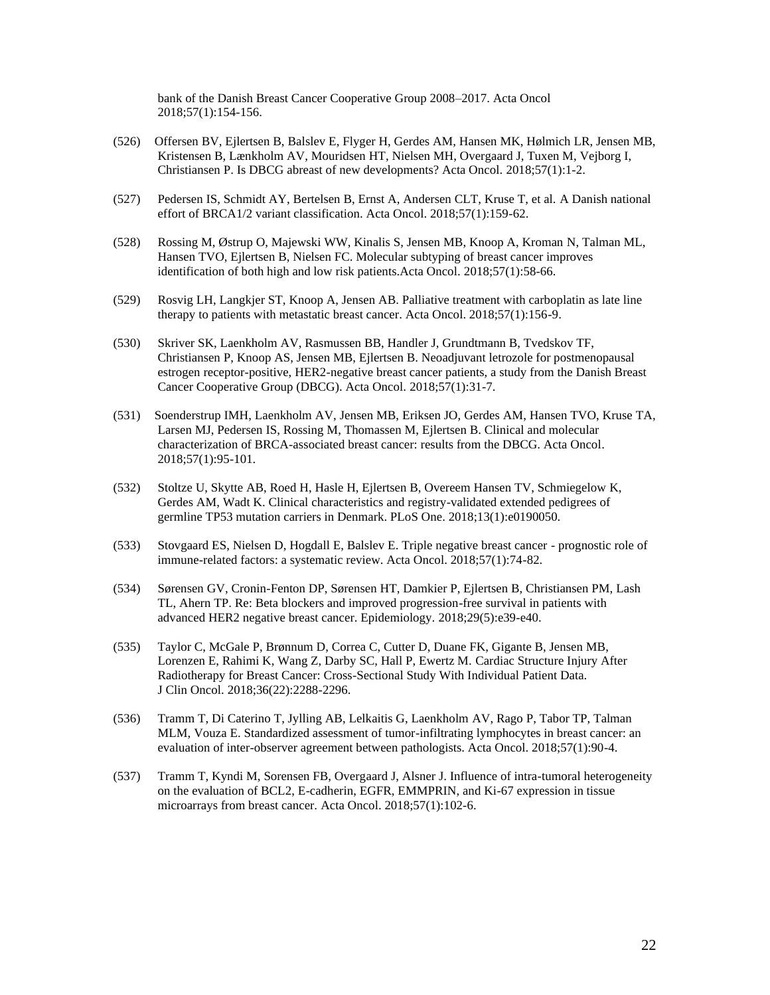bank of the Danish Breast Cancer Cooperative Group 2008–2017. Acta Oncol 2018;57(1):154-156.

- (526) Offersen BV, Ejlertsen B, Balslev E, Flyger H, Gerdes AM, Hansen MK, Hølmich LR, Jensen MB, Kristensen B, Lænkholm AV, Mouridsen HT, Nielsen MH, Overgaard J, Tuxen M, Vejborg I, Christiansen P. Is DBCG abreast of new developments? Acta Oncol. 2018;57(1):1-2.
- (527) Pedersen IS, Schmidt AY, Bertelsen B, Ernst A, Andersen CLT, Kruse T, et al. A Danish national effort of BRCA1/2 variant classification. Acta Oncol. 2018;57(1):159-62.
- (528) Rossing M, Østrup O, Majewski WW, Kinalis S, Jensen MB, Knoop A, Kroman N, Talman ML, Hansen TVO, Ejlertsen B, Nielsen FC. Molecular subtyping of breast cancer improves identification of both high and low risk patients.Acta Oncol. 2018;57(1):58-66.
- (529) Rosvig LH, Langkjer ST, Knoop A, Jensen AB. Palliative treatment with carboplatin as late line therapy to patients with metastatic breast cancer. Acta Oncol. 2018;57(1):156-9.
- (530) Skriver SK, Laenkholm AV, Rasmussen BB, Handler J, Grundtmann B, Tvedskov TF, Christiansen P, Knoop AS, Jensen MB, Ejlertsen B. Neoadjuvant letrozole for postmenopausal estrogen receptor-positive, HER2-negative breast cancer patients, a study from the Danish Breast Cancer Cooperative Group (DBCG). Acta Oncol. 2018;57(1):31-7.
- (531) Soenderstrup IMH, Laenkholm AV, Jensen MB, Eriksen JO, Gerdes AM, Hansen TVO, Kruse TA, Larsen MJ, Pedersen IS, Rossing M, Thomassen M, Ejlertsen B. Clinical and molecular characterization of BRCA-associated breast cancer: results from the DBCG. Acta Oncol. 2018;57(1):95-101.
- (532) Stoltze U, Skytte AB, Roed H, Hasle H, Ejlertsen B, Overeem Hansen TV, Schmiegelow K, Gerdes AM, Wadt K. Clinical characteristics and registry-validated extended pedigrees of germline TP53 mutation carriers in Denmark. PLoS One. 2018;13(1):e0190050.
- (533) Stovgaard ES, Nielsen D, Hogdall E, Balslev E. Triple negative breast cancer prognostic role of immune-related factors: a systematic review. Acta Oncol. 2018;57(1):74-82.
- (534) Sørensen GV, Cronin-Fenton DP, Sørensen HT, Damkier P, Ejlertsen B, Christiansen PM, Lash TL, Ahern TP. Re: Beta blockers and improved progression-free survival in patients with advanced HER2 negative breast cancer. Epidemiology. 2018;29(5):e39-e40.
- (535) Taylor C, McGale P, Brønnum D, Correa C, Cutter D, Duane FK, Gigante B, Jensen MB, Lorenzen E, Rahimi K, Wang Z, Darby SC, Hall P, Ewertz M. Cardiac Structure Injury After Radiotherapy for Breast Cancer: Cross-Sectional Study With Individual Patient Data. J Clin Oncol. 2018;36(22):2288-2296.
- (536) Tramm T, Di Caterino T, Jylling AB, Lelkaitis G, Laenkholm AV, Rago P, Tabor TP, Talman MLM, Vouza E. Standardized assessment of tumor-infiltrating lymphocytes in breast cancer: an evaluation of inter-observer agreement between pathologists. Acta Oncol. 2018;57(1):90-4.
- (537) Tramm T, Kyndi M, Sorensen FB, Overgaard J, Alsner J. Influence of intra-tumoral heterogeneity on the evaluation of BCL2, E-cadherin, EGFR, EMMPRIN, and Ki-67 expression in tissue microarrays from breast cancer. Acta Oncol. 2018;57(1):102-6.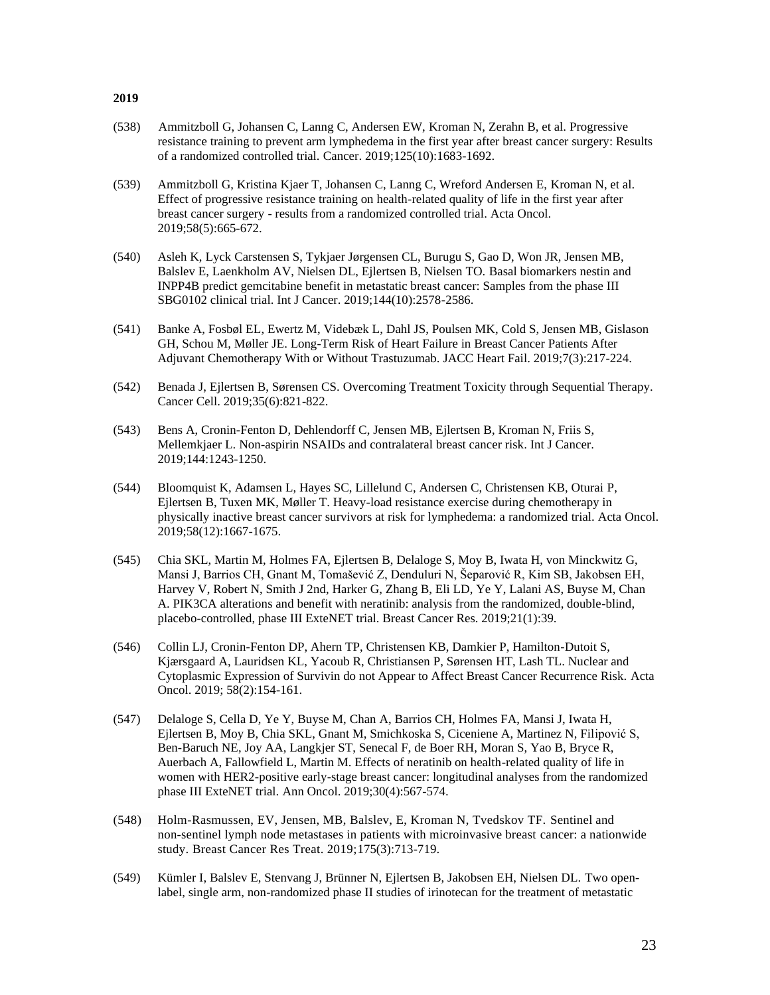- (538) Ammitzboll G, Johansen C, Lanng C, Andersen EW, Kroman N, Zerahn B, et al. Progressive resistance training to prevent arm lymphedema in the first year after breast cancer surgery: Results of a randomized controlled trial. Cancer. 2019;125(10):1683-1692.
- (539) Ammitzboll G, Kristina Kjaer T, Johansen C, Lanng C, Wreford Andersen E, Kroman N, et al. Effect of progressive resistance training on health-related quality of life in the first year after breast cancer surgery - results from a randomized controlled trial. Acta Oncol. 2019;58(5):665-672.
- (540) Asleh K, Lyck Carstensen S, Tykjaer Jørgensen CL, Burugu S, Gao D, Won JR, Jensen MB, Balslev E, Laenkholm AV, Nielsen DL, Ejlertsen B, Nielsen TO. Basal biomarkers nestin and INPP4B predict gemcitabine benefit in metastatic breast cancer: Samples from the phase III SBG0102 clinical trial. Int J Cancer. 2019;144(10):2578-2586.
- (541) [Banke A,](https://www.ncbi.nlm.nih.gov/pubmed/?term=Banke%20A%5BAuthor%5D&cauthor=true&cauthor_uid=30819377) [Fosbøl EL,](https://www.ncbi.nlm.nih.gov/pubmed/?term=Fosb%C3%B8l%20EL%5BAuthor%5D&cauthor=true&cauthor_uid=30819377) [Ewertz M,](https://www.ncbi.nlm.nih.gov/pubmed/?term=Ewertz%20M%5BAuthor%5D&cauthor=true&cauthor_uid=30819377) [Videbæk L,](https://www.ncbi.nlm.nih.gov/pubmed/?term=Videb%C3%A6k%20L%5BAuthor%5D&cauthor=true&cauthor_uid=30819377) [Dahl JS,](https://www.ncbi.nlm.nih.gov/pubmed/?term=Dahl%20JS%5BAuthor%5D&cauthor=true&cauthor_uid=30819377) [Poulsen MK,](https://www.ncbi.nlm.nih.gov/pubmed/?term=Poulsen%20MK%5BAuthor%5D&cauthor=true&cauthor_uid=30819377) [Cold S,](https://www.ncbi.nlm.nih.gov/pubmed/?term=Cold%20S%5BAuthor%5D&cauthor=true&cauthor_uid=30819377) [Jensen MB,](https://www.ncbi.nlm.nih.gov/pubmed/?term=Jensen%20MB%5BAuthor%5D&cauthor=true&cauthor_uid=30819377) [Gislason](https://www.ncbi.nlm.nih.gov/pubmed/?term=Gislason%20GH%5BAuthor%5D&cauthor=true&cauthor_uid=30819377)  [GH,](https://www.ncbi.nlm.nih.gov/pubmed/?term=Gislason%20GH%5BAuthor%5D&cauthor=true&cauthor_uid=30819377) [Schou M,](https://www.ncbi.nlm.nih.gov/pubmed/?term=Schou%20M%5BAuthor%5D&cauthor=true&cauthor_uid=30819377) [Møller JE.](https://www.ncbi.nlm.nih.gov/pubmed/?term=M%C3%B8ller%20JE%5BAuthor%5D&cauthor=true&cauthor_uid=30819377) Long-Term Risk of Heart Failure in Breast Cancer Patients After Adjuvant Chemotherapy With or Without Trastuzumab. [JACC Heart Fail.](https://www.ncbi.nlm.nih.gov/pubmed/30819377) 2019;7(3):217-224.
- (542) Benada J, Ejlertsen B, Sørensen CS. Overcoming Treatment Toxicity through Sequential Therapy. Cancer Cell. 2019;35(6):821-822.
- (543) [Bens](https://www.ncbi.nlm.nih.gov/pubmed/?term=Bens%20A%5BAuthor%5D&cauthor=true&cauthor_uid=30362513) A, [Cronin-Fenton D,](https://www.ncbi.nlm.nih.gov/pubmed/?term=Cronin-Fenton%20D%5BAuthor%5D&cauthor=true&cauthor_uid=30362513) [Dehlendorff C,](https://www.ncbi.nlm.nih.gov/pubmed/?term=Dehlendorff%20C%5BAuthor%5D&cauthor=true&cauthor_uid=30362513) [Jensen MB,](https://www.ncbi.nlm.nih.gov/pubmed/?term=Jensen%20MB%5BAuthor%5D&cauthor=true&cauthor_uid=30362513) [Ejlertsen B,](https://www.ncbi.nlm.nih.gov/pubmed/?term=Ejlertsen%20B%5BAuthor%5D&cauthor=true&cauthor_uid=30362513) [Kroman N,](https://www.ncbi.nlm.nih.gov/pubmed/?term=Kroman%20N%5BAuthor%5D&cauthor=true&cauthor_uid=30362513) [Friis](https://www.ncbi.nlm.nih.gov/pubmed/?term=Friis%20S%5BAuthor%5D&cauthor=true&cauthor_uid=30362513) S, [Mellemkjaer L.](https://www.ncbi.nlm.nih.gov/pubmed/?term=Mellemkjaer%20L%5BAuthor%5D&cauthor=true&cauthor_uid=30362513) Non-aspirin NSAIDs and contralateral breast cancer risk. [Int J Cancer.](https://www.ncbi.nlm.nih.gov/pubmed/30362513)  2019;144:1243-1250.
- (544) Bloomquist K, Adamsen L, Hayes SC, Lillelund C, Andersen C, Christensen KB, Oturai P, Ejlertsen B, Tuxen MK, Møller T. Heavy-load resistance exercise during chemotherapy in physically inactive breast cancer survivors at risk for lymphedema: a randomized trial. Acta Oncol. 2019;58(12):1667-1675.
- (545) Chia SKL, Martin M, Holmes FA, Ejlertsen B, Delaloge S, Moy B, Iwata H, von Minckwitz G, Mansi J, Barrios CH, Gnant M, Tomašević Z, Denduluri N, Šeparović R, Kim SB, Jakobsen EH, Harvey V, Robert N, Smith J 2nd, Harker G, Zhang B, Eli LD, Ye Y, Lalani AS, Buyse M, Chan A. PIK3CA alterations and benefit with neratinib: analysis from the randomized, double-blind, placebo-controlled, phase III ExteNET trial. Breast Cancer Res. 2019;21(1):39.
- (546) Collin LJ, Cronin-Fenton DP, Ahern TP, Christensen KB, Damkier P, Hamilton-Dutoit S, Kjærsgaard A, Lauridsen KL, Yacoub R, Christiansen P, Sørensen HT, Lash TL. Nuclear and Cytoplasmic Expression of Survivin do not Appear to Affect Breast Cancer Recurrence Risk. [Acta](https://www.ncbi.nlm.nih.gov/pubmed/?term=Collin+LJ%2C+Cronin-Fenton+DP%2C+Ahern+TP%2C+Christensen+KB%2C+Damkier+P%2C+Hamilton-Dutoit+S%2C+Kj%C3%A6rsgaard+A%2C+Lauridsen+KL%2C+Yacoub+R%2C+Christiansen+P%2C+S%C3%B8rensen+HT%2C+Lash+TL.+Nuclear+and+Cytoplasmic+Expression+of+Survivin+do+not+Appear+to+Affect+Breast+Cancer+Recurrence+Risk)  [Oncol.](https://www.ncbi.nlm.nih.gov/pubmed/?term=Collin+LJ%2C+Cronin-Fenton+DP%2C+Ahern+TP%2C+Christensen+KB%2C+Damkier+P%2C+Hamilton-Dutoit+S%2C+Kj%C3%A6rsgaard+A%2C+Lauridsen+KL%2C+Yacoub+R%2C+Christiansen+P%2C+S%C3%B8rensen+HT%2C+Lash+TL.+Nuclear+and+Cytoplasmic+Expression+of+Survivin+do+not+Appear+to+Affect+Breast+Cancer+Recurrence+Risk) 2019; 58(2):154-161.
- (547) Delaloge S, Cella D, Ye Y, Buyse M, Chan A, Barrios CH, Holmes FA, Mansi J, Iwata H, Ejlertsen B, Moy B, Chia SKL, Gnant M, Smichkoska S, Ciceniene A, Martinez N, Filipović S, Ben-Baruch NE, Joy AA, Langkjer ST, Senecal F, de Boer RH, Moran S, Yao B, Bryce R, Auerbach A, Fallowfield L, Martin M. Effects of neratinib on health-related quality of life in women with HER2-positive early-stage breast cancer: longitudinal analyses from the randomized phase III ExteNET trial. Ann Oncol. 2019;30(4):567-574.
- (548) Holm-Rasmussen, EV, Jensen, MB, Balslev, E, Kroman N, Tvedskov TF. Sentinel and non-sentinel lymph node metastases in patients with microinvasive breast cancer: a nationwide study. Breast Cancer Res Treat. 2019;175(3):713-719.
- (549) Kümler I, Balslev E, Stenvang J, Brünner N, Ejlertsen B, Jakobsen EH, Nielsen DL. Two openlabel, single arm, non-randomized phase II studies of irinotecan for the treatment of metastatic